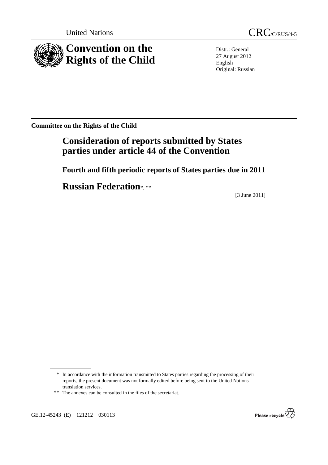

United Nations CRC/C/RUS/4-5

Distr.: General 27 August 2012 English Original: Russian

**Committee on the Rights of the Child** 

# **Consideration of reports submitted by States parties under article 44 of the Convention**

 **Fourth and fifth periodic reports of States parties due in 2011** 

**Russian Federation**\*, \*\*

[3 June 2011]

\*\* The annexes can be consulted in the files of the secretariat.

GE.12-45243 (E) 121212 030113



<sup>\*</sup> In accordance with the information transmitted to States parties regarding the processing of their reports, the present document was not formally edited before being sent to the United Nations translation services.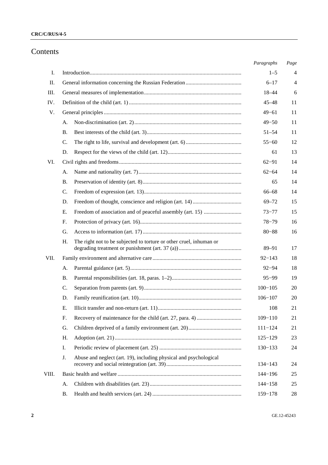## Contents

|       |                                                                           | Paragraphs  | Page |
|-------|---------------------------------------------------------------------------|-------------|------|
| I.    |                                                                           | $1 - 5$     | 4    |
| П.    |                                                                           | $6 - 17$    | 4    |
| Ш.    |                                                                           | 18-44       | 6    |
| IV.   |                                                                           | $45 - 48$   | 11   |
| V.    |                                                                           | $49 - 61$   | 11   |
|       | А.                                                                        | $49 - 50$   | 11   |
|       | В.                                                                        | $51 - 54$   | 11   |
|       | C.                                                                        | $55 - 60$   | 12   |
|       | D.                                                                        | 61          | 13   |
| VI.   |                                                                           | $62 - 91$   | 14   |
|       | A.                                                                        | $62 - 64$   | 14   |
|       | В.                                                                        | 65          | 14   |
|       | C.                                                                        | $66 - 68$   | 14   |
|       | D.                                                                        | $69 - 72$   | 15   |
|       | Е.                                                                        | $73 - 77$   | 15   |
|       | F.                                                                        | $78 - 79$   | 16   |
|       | G.                                                                        | $80 - 88$   | 16   |
|       | The right not to be subjected to torture or other cruel, inhuman or<br>Н. | 89-91       | 17   |
| VII.  |                                                                           | $92 - 143$  | 18   |
|       | A.                                                                        | $92 - 94$   | 18   |
|       | <b>B.</b>                                                                 | $95 - 99$   | 19   |
|       | C.                                                                        | $100 - 105$ | 20   |
|       | D.                                                                        | $106 - 107$ | 20   |
|       | Е.                                                                        | 108         | 21   |
|       | F.                                                                        | $109 - 110$ | 21   |
|       | G.                                                                        | $111 - 124$ | 21   |
|       | Η.                                                                        | $125 - 129$ | 23   |
|       | I.                                                                        | $130 - 133$ | 24   |
|       | Abuse and neglect (art. 19), including physical and psychological<br>J.   | $134 - 143$ | 24   |
| VIII. |                                                                           | 144-196     | 25   |
|       | A.                                                                        | $144 - 158$ | 25   |
|       | Β.                                                                        | 159-178     | 28   |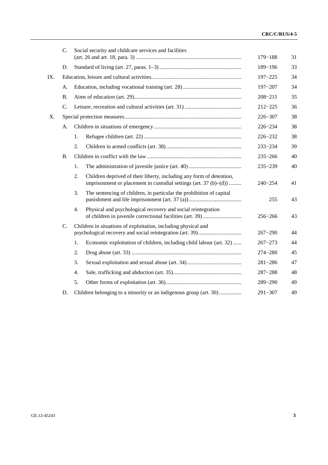| $C_{\cdot}$     | Social security and childcare services and facilities                                                                                             | $179 - 188$ | 31 |
|-----------------|---------------------------------------------------------------------------------------------------------------------------------------------------|-------------|----|
| D.              |                                                                                                                                                   | 189-196     | 33 |
| IX.             |                                                                                                                                                   | $197 - 225$ | 34 |
| А.              |                                                                                                                                                   | $197 - 207$ | 34 |
| <b>B.</b>       |                                                                                                                                                   | $208 - 211$ | 35 |
| $\mathcal{C}$ . |                                                                                                                                                   | $212 - 225$ | 36 |
| X.              |                                                                                                                                                   | 226-307     | 38 |
| А.              |                                                                                                                                                   | $226 - 234$ | 38 |
|                 | 1.                                                                                                                                                | $226 - 232$ | 38 |
|                 | 2.                                                                                                                                                | $233 - 234$ | 39 |
| <b>B.</b>       |                                                                                                                                                   | $235 - 266$ | 40 |
|                 | 1.                                                                                                                                                | $235 - 239$ | 40 |
|                 | 2.<br>Children deprived of their liberty, including any form of detention,<br>imprisonment or placement in custodial settings (art. $37(b)$ –(d)) | $240 - 254$ | 41 |
|                 | The sentencing of children, in particular the prohibition of capital<br>3.                                                                        | 255         | 43 |
|                 | 4.<br>Physical and psychological recovery and social reintegration                                                                                | $256 - 266$ | 43 |
| C.              | Children in situations of exploitation, including physical and                                                                                    | $267 - 290$ | 44 |
|                 | 1.<br>Economic exploitation of children, including child labour (art. 32)                                                                         | $267 - 273$ | 44 |
|                 | 2.                                                                                                                                                | $274 - 280$ | 45 |
|                 | 3.                                                                                                                                                | $281 - 286$ | 47 |
|                 | 4.                                                                                                                                                | $287 - 288$ | 48 |
|                 | 5.                                                                                                                                                | 289-290     | 49 |
| D.              | Children belonging to a minority or an indigenous group (art. 30)                                                                                 | $291 - 307$ | 49 |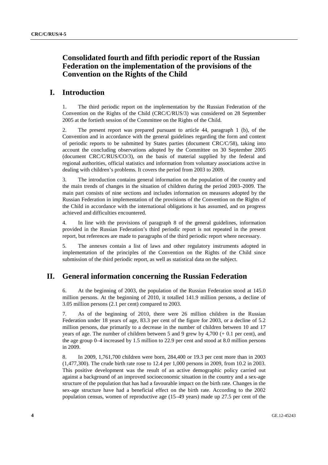## **Consolidated fourth and fifth periodic report of the Russian Federation on the implementation of the provisions of the Convention on the Rights of the Child**

## **I. Introduction**

1. The third periodic report on the implementation by the Russian Federation of the Convention on the Rights of the Child (CRC/C/RUS/3) was considered on 28 September 2005 at the fortieth session of the Committee on the Rights of the Child.

2. The present report was prepared pursuant to article 44, paragraph 1 (b), of the Convention and in accordance with the general guidelines regarding the form and content of periodic reports to be submitted by States parties (document CRC/C/58), taking into account the concluding observations adopted by the Committee on 30 September 2005 (document CRC/C/RUS/CO/3), on the basis of material supplied by the federal and regional authorities, official statistics and information from voluntary associations active in dealing with children's problems. It covers the period from 2003 to 2009.

3. The introduction contains general information on the population of the country and the main trends of changes in the situation of children during the period 2003–2009. The main part consists of nine sections and includes information on measures adopted by the Russian Federation in implementation of the provisions of the Convention on the Rights of the Child in accordance with the international obligations it has assumed, and on progress achieved and difficulties encountered.

4. In line with the provisions of paragraph 8 of the general guidelines, information provided in the Russian Federation's third periodic report is not repeated in the present report, but references are made to paragraphs of the third periodic report where necessary.

5. The annexes contain a list of laws and other regulatory instruments adopted in implementation of the principles of the Convention on the Rights of the Child since submission of the third periodic report, as well as statistical data on the subject.

## **II. General information concerning the Russian Federation**

6. At the beginning of 2003, the population of the Russian Federation stood at 145.0 million persons. At the beginning of 2010, it totalled 141.9 million persons, a decline of 3.05 million persons (2.1 per cent) compared to 2003.

7. As of the beginning of 2010, there were 26 million children in the Russian Federation under 18 years of age, 83.3 per cent of the figure for 2003, or a decline of 5.2 million persons, due primarily to a decrease in the number of children between 10 and 17 years of age. The number of children between 5 and 9 grew by  $4,700 (+ 0.1$  per cent), and the age group 0–4 increased by 1.5 million to 22.9 per cent and stood at 8.0 million persons in 2009.

8. In 2009, 1,761,700 children were born, 284,400 or 19.3 per cent more than in 2003 (1,477,300). The crude birth rate rose to 12.4 per 1,000 persons in 2009, from 10.2 in 2003. This positive development was the result of an active demographic policy carried out against a background of an improved socioeconomic situation in the country and a sex-age structure of the population that has had a favourable impact on the birth rate. Changes in the sex-age structure have had a beneficial effect on the birth rate. According to the 2002 population census, women of reproductive age (15–49 years) made up 27.5 per cent of the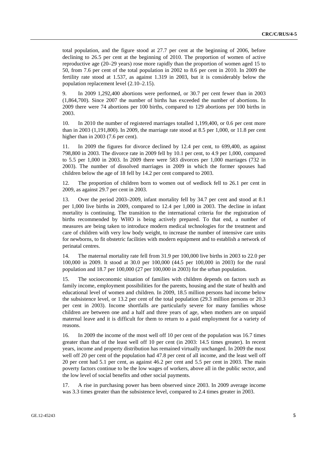total population, and the figure stood at 27.7 per cent at the beginning of 2006, before declining to 26.5 per cent at the beginning of 2010. The proportion of women of active reproductive age (20–29 years) rose more rapidly than the proportion of women aged 15 to 50, from 7.6 per cent of the total population in 2002 to 8.6 per cent in 2010. In 2009 the fertility rate stood at 1.537, as against 1.319 in 2003, but it is considerably below the population replacement level (2.10–2.15).

9. In 2009 1,292,400 abortions were performed, or 30.7 per cent fewer than in 2003 (1,864,700). Since 2007 the number of births has exceeded the number of abortions. In 2009 there were 74 abortions per 100 births, compared to 129 abortions per 100 births in 2003.

10. In 2010 the number of registered marriages totalled 1,199,400, or 0.6 per cent more than in 2003 (1,191,800). In 2009, the marriage rate stood at 8.5 per 1,000, or 11.8 per cent higher than in 2003 (7.6 per cent).

11. In 2009 the figures for divorce declined by 12.4 per cent, to 699,400, as against 798,800 in 2003. The divorce rate in 2009 fell by 10.1 per cent, to 4.9 per 1,000, compared to 5.5 per 1,000 in 2003. In 2009 there were 583 divorces per 1,000 marriages (732 in 2003). The number of dissolved marriages in 2009 in which the former spouses had children below the age of 18 fell by 14.2 per cent compared to 2003.

12. The proportion of children born to women out of wedlock fell to 26.1 per cent in 2009, as against 29.7 per cent in 2003.

13. Over the period 2003–2009, infant mortality fell by 34.7 per cent and stood at 8.1 per 1,000 live births in 2009, compared to 12.4 per 1,000 in 2003. The decline in infant mortality is continuing. The transition to the international criteria for the registration of births recommended by WHO is being actively prepared. To that end, a number of measures are being taken to introduce modern medical technologies for the treatment and care of children with very low body weight, to increase the number of intensive care units for newborns, to fit obstetric facilities with modern equipment and to establish a network of perinatal centres.

14. The maternal mortality rate fell from 31.9 per 100,000 live births in 2003 to 22.0 per 100,000 in 2009. It stood at 30.0 per 100,000 (44.5 per 100,000 in 2003) for the rural population and 18.7 per 100,000 (27 per 100,000 in 2003) for the urban population.

15. The socioeconomic situation of families with children depends on factors such as family income, employment possibilities for the parents, housing and the state of health and educational level of women and children. In 2009, 18.5 million persons had income below the subsistence level, or 13.2 per cent of the total population (29.3 million persons or 20.3 per cent in 2003). Income shortfalls are particularly severe for many families whose children are between one and a half and three years of age, when mothers are on unpaid maternal leave and it is difficult for them to return to a paid employment for a variety of reasons.

16. In 2009 the income of the most well off 10 per cent of the population was 16.7 times greater than that of the least well off 10 per cent (in 2003: 14.5 times greater). In recent years, income and property distribution has remained virtually unchanged. In 2009 the most well off 20 per cent of the population had 47.8 per cent of all income, and the least well off 20 per cent had 5.1 per cent, as against 46.2 per cent and 5.5 per cent in 2003. The main poverty factors continue to be the low wages of workers, above all in the public sector, and the low level of social benefits and other social payments.

17. A rise in purchasing power has been observed since 2003. In 2009 average income was 3.3 times greater than the subsistence level, compared to 2.4 times greater in 2003.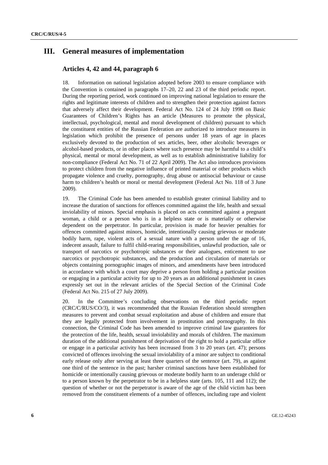## **III. General measures of implementation**

### **Articles 4, 42 and 44, paragraph 6**

18. Information on national legislation adopted before 2003 to ensure compliance with the Convention is contained in paragraphs 17–20, 22 and 23 of the third periodic report. During the reporting period, work continued on improving national legislation to ensure the rights and legitimate interests of children and to strengthen their protection against factors that adversely affect their development. Federal Act No. 124 of 24 July 1998 on Basic Guarantees of Children's Rights has an article (Measures to promote the physical, intellectual, psychological, mental and moral development of children) pursuant to which the constituent entities of the Russian Federation are authorized to introduce measures in legislation which prohibit the presence of persons under 18 years of age in places exclusively devoted to the production of sex articles, beer, other alcoholic beverages or alcohol-based products, or in other places where such presence may be harmful to a child's physical, mental or moral development, as well as to establish administrative liability for non-compliance (Federal Act No. 71 of 22 April 2009). The Act also introduces provisions to protect children from the negative influence of printed material or other products which propagate violence and cruelty, pornography, drug abuse or antisocial behaviour or cause harm to children's health or moral or mental development (Federal Act No. 118 of 3 June 2009).

19. The Criminal Code has been amended to establish greater criminal liability and to increase the duration of sanctions for offences committed against the life, health and sexual inviolability of minors. Special emphasis is placed on acts committed against a pregnant woman, a child or a person who is in a helpless state or is materially or otherwise dependent on the perpetrator. In particular, provision is made for heavier penalties for offences committed against minors, homicide, intentionally causing grievous or moderate bodily harm, rape, violent acts of a sexual nature with a person under the age of 16, indecent assault, failure to fulfil child-rearing responsibilities, unlawful production, sale or transport of narcotics or psychotropic substances or their analogues, enticement to use narcotics or psychotropic substances, and the production and circulation of materials or objects containing pornographic images of minors, and amendments have been introduced in accordance with which a court may deprive a person from holding a particular position or engaging in a particular activity for up to 20 years as an additional punishment in cases expressly set out in the relevant articles of the Special Section of the Criminal Code (Federal Act No. 215 of 27 July 2009).

20. In the Committee's concluding observations on the third periodic report (CRC/C/RUS/CO/3), it was recommended that the Russian Federation should strengthen measures to prevent and combat sexual exploitation and abuse of children and ensure that they are legally protected from involvement in prostitution and pornography. In this connection, the Criminal Code has been amended to improve criminal law guarantees for the protection of the life, health, sexual inviolability and morals of children. The maximum duration of the additional punishment of deprivation of the right to hold a particular office or engage in a particular activity has been increased from 3 to 20 years (art. 47); persons convicted of offences involving the sexual inviolability of a minor are subject to conditional early release only after serving at least three quarters of the sentence (art. 79), as against one third of the sentence in the past; harsher criminal sanctions have been established for homicide or intentionally causing grievous or moderate bodily harm to an underage child or to a person known by the perpetrator to be in a helpless state (arts. 105, 111 and 112); the question of whether or not the perpetrator is aware of the age of the child victim has been removed from the constituent elements of a number of offences, including rape and violent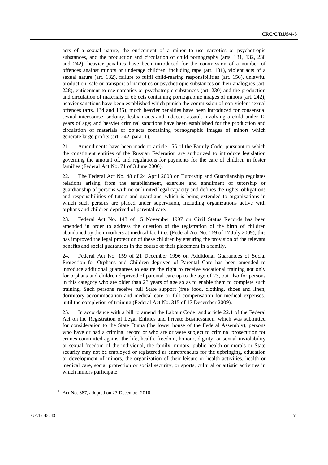acts of a sexual nature, the enticement of a minor to use narcotics or psychotropic substances, and the production and circulation of child pornography (arts. 131, 132, 230 and 242); heavier penalties have been introduced for the commission of a number of offences against minors or underage children, including rape (art. 131), violent acts of a sexual nature (art. 132), failure to fulfil child-rearing responsibilities (art. 156), unlawful production, sale or transport of narcotics or psychotropic substances or their analogues (art. 228), enticement to use narcotics or psychotropic substances (art. 230) and the production and circulation of materials or objects containing pornographic images of minors (art. 242); heavier sanctions have been established which punish the commission of non-violent sexual offences (arts. 134 and 135); much heavier penalties have been introduced for consensual sexual intercourse, sodomy, lesbian acts and indecent assault involving a child under 12 years of age; and heavier criminal sanctions have been established for the production and circulation of materials or objects containing pornographic images of minors which generate large profits (art. 242, para. 1).

21. Amendments have been made to article 155 of the Family Code, pursuant to which the constituent entities of the Russian Federation are authorized to introduce legislation governing the amount of, and regulations for payments for the care of children in foster families (Federal Act No. 71 of 3 June 2006).

22. The Federal Act No. 48 of 24 April 2008 on Tutorship and Guardianship regulates relations arising from the establishment, exercise and annulment of tutorship or guardianship of persons with no or limited legal capacity and defines the rights, obligations and responsibilities of tutors and guardians, which is being extended to organizations in which such persons are placed under supervision, including organizations active with orphans and children deprived of parental care.

23. Federal Act No. 143 of 15 November 1997 on Civil Status Records has been amended in order to address the question of the registration of the birth of children abandoned by their mothers at medical facilities (Federal Act No. 169 of 17 July 2009); this has improved the legal protection of these children by ensuring the provision of the relevant benefits and social guarantees in the course of their placement in a family.

24. Federal Act No. 159 of 21 December 1996 on Additional Guarantees of Social Protection for Orphans and Children deprived of Parental Care has been amended to introduce additional guarantees to ensure the right to receive vocational training not only for orphans and children deprived of parental care up to the age of 23, but also for persons in this category who are older than 23 years of age so as to enable them to complete such training. Such persons receive full State support (free food, clothing, shoes and linen, dormitory accommodation and medical care or full compensation for medical expenses) until the completion of training (Federal Act No. 315 of 17 December 2009).

25. In accordance with a bill to amend the Labour Code<sup>1</sup> and article 22.1 of the Federal Act on the Registration of Legal Entities and Private Businessmen, which was submitted for consideration to the State Duma (the lower house of the Federal Assembly), persons who have or had a criminal record or who are or were subject to criminal prosecution for crimes committed against the life, health, freedom, honour, dignity, or sexual inviolability or sexual freedom of the individual, the family, minors, public health or morals or State security may not be employed or registered as entrepreneurs for the upbringing, education or development of minors, the organization of their leisure or health activities, health or medical care, social protection or social security, or sports, cultural or artistic activities in which minors participate.

<sup>&</sup>lt;sup>1</sup> Act No. 387, adopted on 23 December 2010.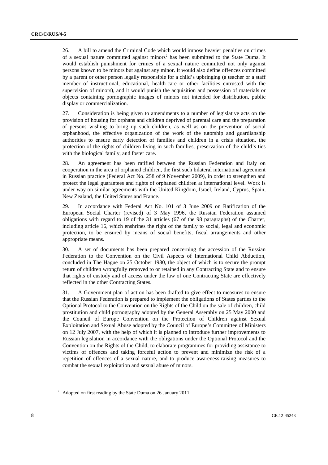26. A bill to amend the Criminal Code which would impose heavier penalties on crimes of a sexual nature committed against minors<sup>2</sup> has been submitted to the State Duma. It would establish punishment for crimes of a sexual nature committed not only against persons known to be minors but against any minor. It would also define offences committed by a parent or other person legally responsible for a child's upbringing (a teacher or a staff member of instructional, educational, health-care or other facilities entrusted with the supervision of minors), and it would punish the acquisition and possession of materials or objects containing pornographic images of minors not intended for distribution, public display or commercialization.

27. Consideration is being given to amendments to a number of legislative acts on the provision of housing for orphans and children deprived of parental care and the preparation of persons wishing to bring up such children, as well as on the prevention of social orphanhood, the effective organization of the work of the tutorship and guardianship authorities to ensure early detection of families and children in a crisis situation, the protection of the rights of children living in such families, preservation of the child's ties with the biological family, and foster care.

28. An agreement has been ratified between the Russian Federation and Italy on cooperation in the area of orphaned children, the first such bilateral international agreement in Russian practice (Federal Act No. 258 of 9 November 2009), in order to strengthen and protect the legal guarantees and rights of orphaned children at international level. Work is under way on similar agreements with the United Kingdom, Israel, Ireland, Cyprus, Spain, New Zealand, the United States and France.

29. In accordance with Federal Act No. 101 of 3 June 2009 on Ratification of the European Social Charter (revised) of 3 May 1996, the Russian Federation assumed obligations with regard to 19 of the 31 articles (67 of the 98 paragraphs) of the Charter, including article 16, which enshrines the right of the family to social, legal and economic protection, to be ensured by means of social benefits, fiscal arrangements and other appropriate means.

30. A set of documents has been prepared concerning the accession of the Russian Federation to the Convention on the Civil Aspects of International Child Abduction, concluded in The Hague on 25 October 1980, the object of which is to secure the prompt return of children wrongfully removed to or retained in any Contracting State and to ensure that rights of custody and of access under the law of one Contracting State are effectively reflected in the other Contracting States.

31. A Government plan of action has been drafted to give effect to measures to ensure that the Russian Federation is prepared to implement the obligations of States parties to the Optional Protocol to the Convention on the Rights of the Child on the sale of children, child prostitution and child pornography adopted by the General Assembly on 25 May 2000 and the Council of Europe Convention on the Protection of Children against Sexual Exploitation and Sexual Abuse adopted by the Council of Europe's Committee of Ministers on 12 July 2007, with the help of which it is planned to introduce further improvements to Russian legislation in accordance with the obligations under the Optional Protocol and the Convention on the Rights of the Child, to elaborate programmes for providing assistance to victims of offences and taking forceful action to prevent and minimize the risk of a repetition of offences of a sexual nature, and to produce awareness-raising measures to combat the sexual exploitation and sexual abuse of minors.

 $2^2$  Adopted on first reading by the State Duma on 26 January 2011.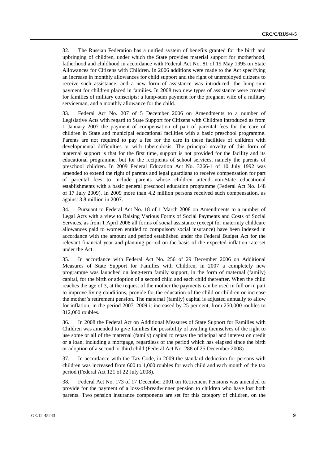32. The Russian Federation has a unified system of benefits granted for the birth and upbringing of children, under which the State provides material support for motherhood, fatherhood and childhood in accordance with Federal Act No. 81 of 19 May 1995 on State Allowances for Citizens with Children. In 2006 additions were made to the Act specifying an increase in monthly allowances for child support and the right of unemployed citizens to receive such assistance, and a new form of assistance was introduced: the lump-sum payment for children placed in families. In 2008 two new types of assistance were created for families of military conscripts: a lump-sum payment for the pregnant wife of a military serviceman, and a monthly allowance for the child.

33. Federal Act No. 207 of 5 December 2006 on Amendments to a number of Legislative Acts with regard to State Support for Citizens with Children introduced as from 1 January 2007 the payment of compensation of part of parental fees for the care of children in State and municipal educational facilities with a basic preschool programme. Parents are not required to pay a fee for the care in these facilities of children with developmental difficulties or with tuberculosis. The principal novelty of this form of maternal support is that for the first time, support is not provided for the facility and its educational programme, but for the recipients of school services, namely the parents of preschool children. In 2009 Federal Education Act No. 3266-1 of 10 July 1992 was amended to extend the right of parents and legal guardians to receive compensation for part of parental fees to include parents whose children attend non-State educational establishments with a basic general preschool education programme (Federal Act No. 148 of 17 July 2009). In 2009 more than 4.2 million persons received such compensation, as against 3.8 million in 2007.

34. Pursuant to Federal Act No. 18 of 1 March 2008 on Amendments to a number of Legal Acts with a view to Raising Various Forms of Social Payments and Costs of Social Services, as from 1 April 2008 all forms of social assistance (except for maternity childcare allowances paid to women entitled to compulsory social insurance) have been indexed in accordance with the amount and period established under the Federal Budget Act for the relevant financial year and planning period on the basis of the expected inflation rate set under the Act.

35. In accordance with Federal Act No. 256 of 29 December 2006 on Additional Measures of State Support for Families with Children, in 2007 a completely new programme was launched on long-term family support, in the form of maternal (family) capital, for the birth or adoption of a second child and each child thereafter. When the child reaches the age of 3, at the request of the mother the payments can be used in full or in part to improve living conditions, provide for the education of the child or children or increase the mother's retirement pension. The maternal (family) capital is adjusted annually to allow for inflation; in the period 2007–2009 it increased by 25 per cent, from 250,000 roubles to 312,000 roubles.

36. In 2008 the Federal Act on Additional Measures of State Support for Families with Children was amended to give families the possibility of availing themselves of the right to use some or all of the maternal (family) capital to repay the principal and interest on credit or a loan, including a mortgage, regardless of the period which has elapsed since the birth or adoption of a second or third child (Federal Act No. 288 of 25 December 2008).

37. In accordance with the Tax Code, in 2009 the standard deduction for persons with children was increased from 600 to 1,000 roubles for each child and each month of the tax period (Federal Act 121 of 22 July 2008).

38. Federal Act No. 173 of 17 December 2001 on Retirement Pensions was amended to provide for the payment of a loss-of-breadwinner pension to children who have lost both parents. Two pension insurance components are set for this category of children, on the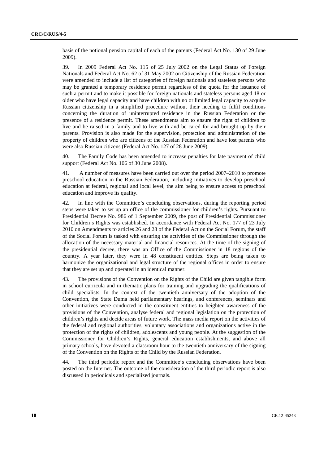basis of the notional pension capital of each of the parents (Federal Act No. 130 of 29 June 2009).

39. In 2009 Federal Act No. 115 of 25 July 2002 on the Legal Status of Foreign Nationals and Federal Act No. 62 of 31 May 2002 on Citizenship of the Russian Federation were amended to include a list of categories of foreign nationals and stateless persons who may be granted a temporary residence permit regardless of the quota for the issuance of such a permit and to make it possible for foreign nationals and stateless persons aged 18 or older who have legal capacity and have children with no or limited legal capacity to acquire Russian citizenship in a simplified procedure without their needing to fulfil conditions concerning the duration of uninterrupted residence in the Russian Federation or the presence of a residence permit. These amendments aim to ensure the right of children to live and be raised in a family and to live with and be cared for and brought up by their parents. Provision is also made for the supervision, protection and administration of the property of children who are citizens of the Russian Federation and have lost parents who were also Russian citizens (Federal Act No. 127 of 28 June 2009).

40. The Family Code has been amended to increase penalties for late payment of child support (Federal Act No. 106 of 30 June 2008).

41. A number of measures have been carried out over the period 2007–2010 to promote preschool education in the Russian Federation, including initiatives to develop preschool education at federal, regional and local level, the aim being to ensure access to preschool education and improve its quality.

42. In line with the Committee's concluding observations, during the reporting period steps were taken to set up an office of the commissioner for children's rights. Pursuant to Presidential Decree No. 986 of 1 September 2009, the post of Presidential Commissioner for Children's Rights was established. In accordance with Federal Act No. 177 of 23 July 2010 on Amendments to articles 26 and 28 of the Federal Act on the Social Forum, the staff of the Social Forum is tasked with ensuring the activities of the Commissioner through the allocation of the necessary material and financial resources. At the time of the signing of the presidential decree, there was an Office of the Commissioner in 18 regions of the country. A year later, they were in 48 constituent entities. Steps are being taken to harmonize the organizational and legal structure of the regional offices in order to ensure that they are set up and operated in an identical manner.

43. The provisions of the Convention on the Rights of the Child are given tangible form in school curricula and in thematic plans for training and upgrading the qualifications of child specialists. In the context of the twentieth anniversary of the adoption of the Convention, the State Duma held parliamentary hearings, and conferences, seminars and other initiatives were conducted in the constituent entities to heighten awareness of the provisions of the Convention, analyse federal and regional legislation on the protection of children's rights and decide areas of future work. The mass media report on the activities of the federal and regional authorities, voluntary associations and organizations active in the protection of the rights of children, adolescents and young people. At the suggestion of the Commissioner for Children's Rights, general education establishments, and above all primary schools, have devoted a classroom hour to the twentieth anniversary of the signing of the Convention on the Rights of the Child by the Russian Federation.

44. The third periodic report and the Committee's concluding observations have been posted on the Internet. The outcome of the consideration of the third periodic report is also discussed in periodicals and specialized journals.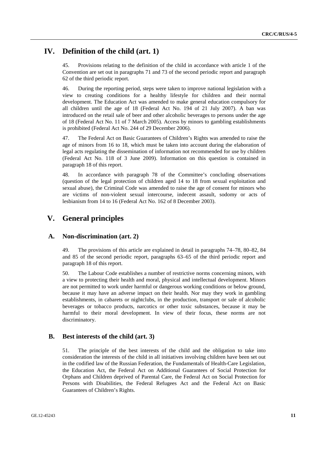## **IV. Definition of the child (art. 1)**

45. Provisions relating to the definition of the child in accordance with article 1 of the Convention are set out in paragraphs 71 and 73 of the second periodic report and paragraph 62 of the third periodic report.

46. During the reporting period, steps were taken to improve national legislation with a view to creating conditions for a healthy lifestyle for children and their normal development. The Education Act was amended to make general education compulsory for all children until the age of 18 (Federal Act No. 194 of 21 July 2007). A ban was introduced on the retail sale of beer and other alcoholic beverages to persons under the age of 18 (Federal Act No. 11 of 7 March 2005). Access by minors to gambling establishments is prohibited (Federal Act No. 244 of 29 December 2006).

47. The Federal Act on Basic Guarantees of Children's Rights was amended to raise the age of minors from 16 to 18, which must be taken into account during the elaboration of legal acts regulating the dissemination of information not recommended for use by children (Federal Act No. 118 of 3 June 2009). Information on this question is contained in paragraph 18 of this report.

48. In accordance with paragraph 78 of the Committee's concluding observations (question of the legal protection of children aged 14 to 18 from sexual exploitation and sexual abuse), the Criminal Code was amended to raise the age of consent for minors who are victims of non-violent sexual intercourse, indecent assault, sodomy or acts of lesbianism from 14 to 16 (Federal Act No. 162 of 8 December 2003).

## **V. General principles**

### **A. Non-discrimination (art. 2)**

49. The provisions of this article are explained in detail in paragraphs 74–78, 80–82, 84 and 85 of the second periodic report, paragraphs 63–65 of the third periodic report and paragraph 18 of this report.

50. The Labour Code establishes a number of restrictive norms concerning minors, with a view to protecting their health and moral, physical and intellectual development. Minors are not permitted to work under harmful or dangerous working conditions or below ground, because it may have an adverse impact on their health. Nor may they work in gambling establishments, in cabarets or nightclubs, in the production, transport or sale of alcoholic beverages or tobacco products, narcotics or other toxic substances, because it may be harmful to their moral development. In view of their focus, these norms are not discriminatory.

### **B. Best interests of the child (art. 3)**

51. The principle of the best interests of the child and the obligation to take into consideration the interests of the child in all initiatives involving children have been set out in the codified law of the Russian Federation, the Fundamentals of Health-Care Legislation, the Education Act, the Federal Act on Additional Guarantees of Social Protection for Orphans and Children deprived of Parental Care, the Federal Act on Social Protection for Persons with Disabilities, the Federal Refugees Act and the Federal Act on Basic Guarantees of Children's Rights.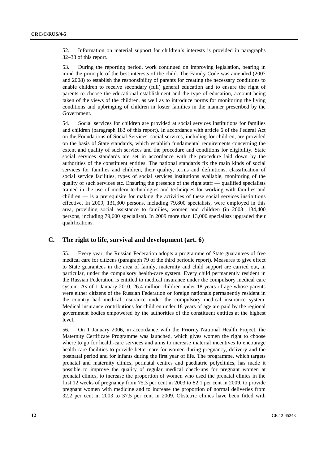52. Information on material support for children's interests is provided in paragraphs 32–38 of this report.

53. During the reporting period, work continued on improving legislation, bearing in mind the principle of the best interests of the child. The Family Code was amended (2007 and 2008) to establish the responsibility of parents for creating the necessary conditions to enable children to receive secondary (full) general education and to ensure the right of parents to choose the educational establishment and the type of education, account being taken of the views of the children, as well as to introduce norms for monitoring the living conditions and upbringing of children in foster families in the manner prescribed by the Government.

54. Social services for children are provided at social services institutions for families and children (paragraph 183 of this report). In accordance with article 6 of the Federal Act on the Foundations of Social Services, social services, including for children, are provided on the basis of State standards, which establish fundamental requirements concerning the extent and quality of such services and the procedure and conditions for eligibility. State social services standards are set in accordance with the procedure laid down by the authorities of the constituent entities. The national standards fix the main kinds of social services for families and children, their quality, terms and definitions, classification of social service facilities, types of social services institutions available, monitoring of the quality of such services etc. Ensuring the presence of the right staff — qualified specialists trained in the use of modern technologies and techniques for working with families and children — is a prerequisite for making the activities of these social services institutions effective. In 2009, 131,300 persons, including 79,800 specialists, were employed in this area, providing social assistance to families, women and children (in 2008: 134,400 persons, including 79,600 specialists). In 2009 more than 13,000 specialists upgraded their qualifications.

## **C. The right to life, survival and development (art. 6)**

55. Every year, the Russian Federation adopts a programme of State guarantees of free medical care for citizens (paragraph 79 of the third periodic report). Measures to give effect to State guarantees in the area of family, maternity and child support are carried out, in particular, under the compulsory health-care system. Every child permanently resident in the Russian Federation is entitled to medical insurance under the compulsory medical care system. As of 1 January 2010, 26.4 million children under 18 years of age whose parents were either citizens of the Russian Federation or foreign nationals permanently resident in the country had medical insurance under the compulsory medical insurance system. Medical insurance contributions for children under 18 years of age are paid by the regional government bodies empowered by the authorities of the constituent entities at the highest level.

56. On 1 January 2006, in accordance with the Priority National Health Project, the Maternity Certificate Programme was launched, which gives women the right to choose where to go for health-care services and aims to increase material incentives to encourage health-care facilities to provide better care for women during pregnancy, delivery and the postnatal period and for infants during the first year of life. The programme, which targets prenatal and maternity clinics, perinatal centres and paediatric polyclinics, has made it possible to improve the quality of regular medical check-ups for pregnant women at prenatal clinics, to increase the proportion of women who used the prenatal clinics in the first 12 weeks of pregnancy from 75.3 per cent in 2003 to 82.1 per cent in 2009, to provide pregnant women with medicine and to increase the proportion of normal deliveries from 32.2 per cent in 2003 to 37.5 per cent in 2009. Obstetric clinics have been fitted with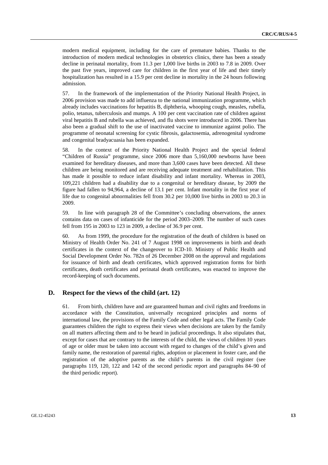modern medical equipment, including for the care of premature babies. Thanks to the introduction of modern medical technologies in obstetrics clinics, there has been a steady decline in perinatal mortality, from 11.3 per 1,000 live births in 2003 to 7.8 in 2009. Over the past five years, improved care for children in the first year of life and their timely hospitalization has resulted in a 15.9 per cent decline in mortality in the 24 hours following admission.

57. In the framework of the implementation of the Priority National Health Project, in 2006 provision was made to add influenza to the national immunization programme, which already includes vaccinations for hepatitis B, diphtheria, whooping cough, measles, rubella, polio, tetanus, tuberculosis and mumps. A 100 per cent vaccination rate of children against viral hepatitis B and rubella was achieved, and flu shots were introduced in 2006. There has also been a gradual shift to the use of inactivated vaccine to immunize against polio. The programme of neonatal screening for cystic fibrosis, galactosemia, adrenogenital syndrome and congenital bradyacuasia has been expanded.

58. In the context of the Priority National Health Project and the special federal "Children of Russia" programme, since 2006 more than 5,160,000 newborns have been examined for hereditary diseases, and more than 3,600 cases have been detected. All these children are being monitored and are receiving adequate treatment and rehabilitation. This has made it possible to reduce infant disability and infant mortality. Whereas in 2003, 109,221 children had a disability due to a congenital or hereditary disease, by 2009 the figure had fallen to 94,964, a decline of 13.1 per cent. Infant mortality in the first year of life due to congenital abnormalities fell from 30.2 per 10,000 live births in 2003 to 20.3 in 2009.

59. In line with paragraph 28 of the Committee's concluding observations, the annex contains data on cases of infanticide for the period 2003–2009. The number of such cases fell from 195 in 2003 to 123 in 2009, a decline of 36.9 per cent.

60. As from 1999, the procedure for the registration of the death of children is based on Ministry of Health Order No. 241 of 7 August 1998 on improvements in birth and death certificates in the context of the changeover to ICD-10. Ministry of Public Health and Social Development Order No. 782n of 26 December 2008 on the approval and regulations for issuance of birth and death certificates, which approved registration forms for birth certificates, death certificates and perinatal death certificates, was enacted to improve the record-keeping of such documents.

### **D. Respect for the views of the child (art. 12)**

61. From birth, children have and are guaranteed human and civil rights and freedoms in accordance with the Constitution, universally recognized principles and norms of international law, the provisions of the Family Code and other legal acts. The Family Code guarantees children the right to express their views when decisions are taken by the family on all matters affecting them and to be heard in judicial proceedings. It also stipulates that, except for cases that are contrary to the interests of the child, the views of children 10 years of age or older must be taken into account with regard to changes of the child's given and family name, the restoration of parental rights, adoption or placement in foster care, and the registration of the adoptive parents as the child's parents in the civil register (see paragraphs 119, 120, 122 and 142 of the second periodic report and paragraphs 84–90 of the third periodic report).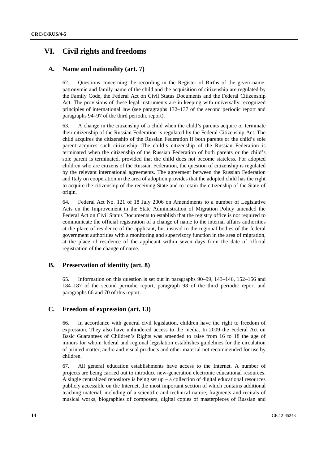## **VI. Civil rights and freedoms**

## **A. Name and nationality (art. 7)**

62. Questions concerning the recording in the Register of Births of the given name, patronymic and family name of the child and the acquisition of citizenship are regulated by the Family Code, the Federal Act on Civil Status Documents and the Federal Citizenship Act. The provisions of these legal instruments are in keeping with universally recognized principles of international law (see paragraphs 132–137 of the second periodic report and paragraphs 94–97 of the third periodic report).

63. A change in the citizenship of a child when the child's parents acquire or terminate their citizenship of the Russian Federation is regulated by the Federal Citizenship Act. The child acquires the citizenship of the Russian Federation if both parents or the child's sole parent acquires such citizenship. The child's citizenship of the Russian Federation is terminated when the citizenship of the Russian Federation of both parents or the child's sole parent is terminated, provided that the child does not become stateless. For adopted children who are citizens of the Russian Federation, the question of citizenship is regulated by the relevant international agreements. The agreement between the Russian Federation and Italy on cooperation in the area of adoption provides that the adopted child has the right to acquire the citizenship of the receiving State and to retain the citizenship of the State of origin.

64. Federal Act No. 121 of 18 July 2006 on Amendments to a number of Legislative Acts on the Improvement in the State Administration of Migration Policy amended the Federal Act on Civil Status Documents to establish that the registry office is not required to communicate the official registration of a change of name to the internal affairs authorities at the place of residence of the applicant, but instead to the regional bodies of the federal government authorities with a monitoring and supervisory function in the area of migration, at the place of residence of the applicant within seven days from the date of official registration of the change of name.

### **B. Preservation of identity (art. 8)**

65. Information on this question is set out in paragraphs 90–99, 143–146, 152–156 and 184–187 of the second periodic report, paragraph 98 of the third periodic report and paragraphs 66 and 70 of this report.

### **C. Freedom of expression (art. 13)**

66. In accordance with general civil legislation, children have the right to freedom of expression. They also have unhindered access to the media. In 2009 the Federal Act on Basic Guarantees of Children's Rights was amended to raise from 16 to 18 the age of minors for whom federal and regional legislation establishes guidelines for the circulation of printed matter, audio and visual products and other material not recommended for use by children.

67. All general education establishments have access to the Internet. A number of projects are being carried out to introduce new-generation electronic educational resources. A single centralized repository is being set  $up - a$  collection of digital educational resources publicly accessible on the Internet, the most important section of which contains additional teaching material, including of a scientific and technical nature, fragments and recitals of musical works, biographies of composers, digital copies of masterpieces of Russian and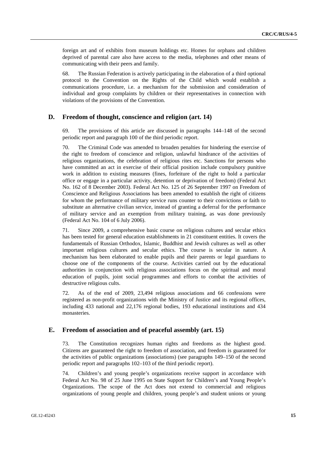foreign art and of exhibits from museum holdings etc. Homes for orphans and children deprived of parental care also have access to the media, telephones and other means of communicating with their peers and family.

68. The Russian Federation is actively participating in the elaboration of a third optional protocol to the Convention on the Rights of the Child which would establish a communications procedure, i.e. a mechanism for the submission and consideration of individual and group complaints by children or their representatives in connection with violations of the provisions of the Convention.

#### **D. Freedom of thought, conscience and religion (art. 14)**

69. The provisions of this article are discussed in paragraphs 144–148 of the second periodic report and paragraph 100 of the third periodic report.

70. The Criminal Code was amended to broaden penalties for hindering the exercise of the right to freedom of conscience and religion, unlawful hindrance of the activities of religious organizations, the celebration of religious rites etc. Sanctions for persons who have committed an act in exercise of their official position include compulsory punitive work in addition to existing measures (fines, forfeiture of the right to hold a particular office or engage in a particular activity, detention or deprivation of freedom) (Federal Act No. 162 of 8 December 2003). Federal Act No. 125 of 26 September 1997 on Freedom of Conscience and Religious Associations has been amended to establish the right of citizens for whom the performance of military service runs counter to their convictions or faith to substitute an alternative civilian service, instead of granting a deferral for the performance of military service and an exemption from military training, as was done previously (Federal Act No. 104 of 6 July 2006).

71. Since 2009, a comprehensive basic course on religious cultures and secular ethics has been tested for general education establishments in 21 constituent entities. It covers the fundamentals of Russian Orthodox, Islamic, Buddhist and Jewish cultures as well as other important religious cultures and secular ethics. The course is secular in nature. A mechanism has been elaborated to enable pupils and their parents or legal guardians to choose one of the components of the course. Activities carried out by the educational authorities in conjunction with religious associations focus on the spiritual and moral education of pupils, joint social programmes and efforts to combat the activities of destructive religious cults.

72. As of the end of 2009, 23,494 religious associations and 66 confessions were registered as non-profit organizations with the Ministry of Justice and its regional offices, including 433 national and 22,176 regional bodies, 193 educational institutions and 434 monasteries.

#### **E. Freedom of association and of peaceful assembly (art. 15)**

73. The Constitution recognizes human rights and freedoms as the highest good. Citizens are guaranteed the right to freedom of association, and freedom is guaranteed for the activities of public organizations (associations) (see paragraphs 149–150 of the second periodic report and paragraphs 102–103 of the third periodic report).

74. Children's and young people's organizations receive support in accordance with Federal Act No. 98 of 25 June 1995 on State Support for Children's and Young People's Organizations. The scope of the Act does not extend to commercial and religious organizations of young people and children, young people's and student unions or young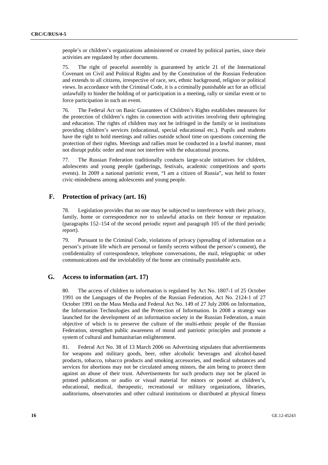people's or children's organizations administered or created by political parties, since their activities are regulated by other documents.

75. The right of peaceful assembly is guaranteed by article 21 of the International Covenant on Civil and Political Rights and by the Constitution of the Russian Federation and extends to all citizens, irrespective of race, sex, ethnic background, religion or political views. In accordance with the Criminal Code, it is a criminally punishable act for an official unlawfully to hinder the holding of or participation in a meeting, rally or similar event or to force participation in such an event.

76. The Federal Act on Basic Guarantees of Children's Rights establishes measures for the protection of children's rights in connection with activities involving their upbringing and education. The rights of children may not be infringed in the family or in institutions providing children's services (educational, special educational etc.). Pupils and students have the right to hold meetings and rallies outside school time on questions concerning the protection of their rights. Meetings and rallies must be conducted in a lawful manner, must not disrupt public order and must not interfere with the educational process.

77. The Russian Federation traditionally conducts large-scale initiatives for children, adolescents and young people (gatherings, festivals, academic competitions and sports events). In 2009 a national patriotic event, "I am a citizen of Russia", was held to foster civic-mindedness among adolescents and young people.

#### **F. Protection of privacy (art. 16)**

78. Legislation provides that no one may be subjected to interference with their privacy, family, home or correspondence nor to unlawful attacks on their honour or reputation (paragraphs 152–154 of the second periodic report and paragraph 105 of the third periodic report).

79. Pursuant to the Criminal Code, violations of privacy (spreading of information on a person's private life which are personal or family secrets without the person's consent), the confidentiality of correspondence, telephone conversations, the mail, telegraphic or other communications and the inviolability of the home are criminally punishable acts.

### **G. Access to information (art. 17)**

80. The access of children to information is regulated by Act No. 1807-1 of 25 October 1991 on the Languages of the Peoples of the Russian Federation, Act No. 2124-1 of 27 October 1991 on the Mass Media and Federal Act No. 149 of 27 July 2006 on Information, the Information Technologies and the Protection of Information. In 2008 a strategy was launched for the development of an information society in the Russian Federation, a main objective of which is to preserve the culture of the multi-ethnic people of the Russian Federation, strengthen public awareness of moral and patriotic principles and promote a system of cultural and humanitarian enlightenment.

81. Federal Act No. 38 of 13 March 2006 on Advertising stipulates that advertisements for weapons and military goods, beer, other alcoholic beverages and alcohol-based products, tobacco, tobacco products and smoking accessories, and medical substances and services for abortions may not be circulated among minors, the aim being to protect them against an abuse of their trust. Advertisements for such products may not be placed in printed publications or audio or visual material for minors or posted at children's, educational, medical, therapeutic, recreational or military organizations, libraries, auditoriums, observatories and other cultural institutions or distributed at physical fitness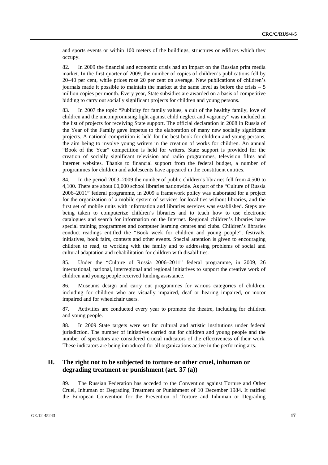and sports events or within 100 meters of the buildings, structures or edifices which they occupy.

82. In 2009 the financial and economic crisis had an impact on the Russian print media market. In the first quarter of 2009, the number of copies of children's publications fell by 20–40 per cent, while prices rose 20 per cent on average. New publications of children's journals made it possible to maintain the market at the same level as before the crisis – 5 million copies per month. Every year, State subsidies are awarded on a basis of competitive bidding to carry out socially significant projects for children and young persons.

83. In 2007 the topic "Publicity for family values, a cult of the healthy family, love of children and the uncompromising fight against child neglect and vagrancy" was included in the list of projects for receiving State support. The official declaration in 2008 in Russia of the Year of the Family gave impetus to the elaboration of many new socially significant projects. A national competition is held for the best book for children and young persons, the aim being to involve young writers in the creation of works for children. An annual "Book of the Year" competition is held for writers. State support is provided for the creation of socially significant television and radio programmes, television films and Internet websites. Thanks to financial support from the federal budget, a number of programmes for children and adolescents have appeared in the constituent entities.

84. In the period 2003–2009 the number of public children's libraries fell from 4,500 to 4,100. There are about 60,000 school libraries nationwide. As part of the "Culture of Russia 2006–2011" federal programme, in 2009 a framework policy was elaborated for a project for the organization of a mobile system of services for localities without libraries, and the first set of mobile units with information and libraries services was established. Steps are being taken to computerize children's libraries and to teach how to use electronic catalogues and search for information on the Internet. Regional children's libraries have special training programmes and computer learning centres and clubs. Children's libraries conduct readings entitled the "Book week for children and young people", festivals, initiatives, book fairs, contests and other events. Special attention is given to encouraging children to read, to working with the family and to addressing problems of social and cultural adaptation and rehabilitation for children with disabilities.

85. Under the "Culture of Russia 2006–2011" federal programme, in 2009, 26 international, national, interregional and regional initiatives to support the creative work of children and young people received funding assistance.

86. Museums design and carry out programmes for various categories of children, including for children who are visually impaired, deaf or hearing impaired, or motor impaired and for wheelchair users.

87. Activities are conducted every year to promote the theatre, including for children and young people.

88. In 2009 State targets were set for cultural and artistic institutions under federal jurisdiction. The number of initiatives carried out for children and young people and the number of spectators are considered crucial indicators of the effectiveness of their work. These indicators are being introduced for all organizations active in the performing arts.

## **H. The right not to be subjected to torture or other cruel, inhuman or degrading treatment or punishment (art. 37 (a))**

89. The Russian Federation has acceded to the Convention against Torture and Other Cruel, Inhuman or Degrading Treatment or Punishment of 10 December 1984. It ratified the European Convention for the Prevention of Torture and Inhuman or Degrading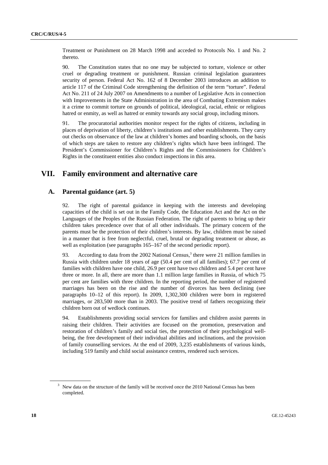Treatment or Punishment on 28 March 1998 and acceded to Protocols No. 1 and No. 2 thereto.

90. The Constitution states that no one may be subjected to torture, violence or other cruel or degrading treatment or punishment. Russian criminal legislation guarantees security of person. Federal Act No. 162 of 8 December 2003 introduces an addition to article 117 of the Criminal Code strengthening the definition of the term "torture". Federal Act No. 211 of 24 July 2007 on Amendments to a number of Legislative Acts in connection with Improvements in the State Administration in the area of Combating Extremism makes it a crime to commit torture on grounds of political, ideological, racial, ethnic or religious hatred or enmity, as well as hatred or enmity towards any social group, including minors.

91. The procuratorial authorities monitor respect for the rights of citizens, including in places of deprivation of liberty, children's institutions and other establishments. They carry out checks on observance of the law at children's homes and boarding schools, on the basis of which steps are taken to restore any children's rights which have been infringed. The President's Commissioner for Children's Rights and the Commissioners for Children's Rights in the constituent entities also conduct inspections in this area.

## **VII. Family environment and alternative care**

#### **A. Parental guidance (art. 5)**

92. The right of parental guidance in keeping with the interests and developing capacities of the child is set out in the Family Code, the Education Act and the Act on the Languages of the Peoples of the Russian Federation. The right of parents to bring up their children takes precedence over that of all other individuals. The primary concern of the parents must be the protection of their children's interests. By law, children must be raised in a manner that is free from neglectful, cruel, brutal or degrading treatment or abuse, as well as exploitation (see paragraphs  $165-167$  of the second periodic report).

93. According to data from the 2002 National Census,<sup>3</sup> there were 21 million families in Russia with children under 18 years of age (50.4 per cent of all families); 67.7 per cent of families with children have one child, 26.9 per cent have two children and 5.4 per cent have three or more. In all, there are more than 1.1 million large families in Russia, of which 75 per cent are families with three children. In the reporting period, the number of registered marriages has been on the rise and the number of divorces has been declining (see paragraphs 10–12 of this report). In 2009, 1,302,300 children were born in registered marriages, or 283,500 more than in 2003. The positive trend of fathers recognizing their children born out of wedlock continues.

94. Establishments providing social services for families and children assist parents in raising their children. Their activities are focused on the promotion, preservation and restoration of children's family and social ties, the protection of their psychological wellbeing, the free development of their individual abilities and inclinations, and the provision of family counselling services. At the end of 2009, 3,235 establishments of various kinds, including 519 family and child social assistance centres, rendered such services.

 $3$  New data on the structure of the family will be received once the 2010 National Census has been completed.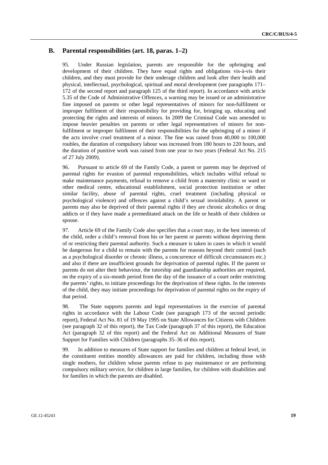### **B. Parental responsibilities (art. 18, paras. 1–2)**

95. Under Russian legislation, parents are responsible for the upbringing and development of their children. They have equal rights and obligations vis-à-vis their children, and they must provide for their underage children and look after their health and physical, intellectual, psychological, spiritual and moral development (see paragraphs 171– 172 of the second report and paragraph 125 of the third report). In accordance with article 5.35 of the Code of Administrative Offences, a warning may be issued or an administrative fine imposed on parents or other legal representatives of minors for non-fulfilment or improper fulfilment of their responsibility for providing for, bringing up, educating and protecting the rights and interests of minors. In 2009 the Criminal Code was amended to impose heavier penalties on parents or other legal representatives of minors for nonfulfilment or improper fulfilment of their responsibilities for the upbringing of a minor if the acts involve cruel treatment of a minor. The fine was raised from 40,000 to 100,000 roubles, the duration of compulsory labour was increased from 180 hours to 220 hours, and the duration of punitive work was raised from one year to two years (Federal Act No. 215 of 27 July 2009).

96. Pursuant to article 69 of the Family Code, a parent or parents may be deprived of parental rights for evasion of parental responsibilities, which includes wilful refusal to make maintenance payments, refusal to remove a child from a maternity clinic or ward or other medical centre, educational establishment, social protection institution or other similar facility, abuse of parental rights, cruel treatment (including physical or psychological violence) and offences against a child's sexual inviolability. A parent or parents may also be deprived of their parental rights if they are chronic alcoholics or drug addicts or if they have made a premeditated attack on the life or health of their children or spouse.

97. Article 69 of the Family Code also specifies that a court may, in the best interests of the child, order a child's removal from his or her parent or parents without depriving them of or restricting their parental authority. Such a measure is taken in cases in which it would be dangerous for a child to remain with the parents for reasons beyond their control (such as a psychological disorder or chronic illness, a concurrence of difficult circumstances etc.) and also if there are insufficient grounds for deprivation of parental rights. If the parent or parents do not alter their behaviour, the tutorship and guardianship authorities are required, on the expiry of a six-month period from the day of the issuance of a court order restricting the parents' rights, to initiate proceedings for the deprivation of these rights. In the interests of the child, they may initiate proceedings for deprivation of parental rights on the expiry of that period.

98. The State supports parents and legal representatives in the exercise of parental rights in accordance with the Labour Code (see paragraph 173 of the second periodic report), Federal Act No. 81 of 19 May 1995 on State Allowances for Citizens with Children (see paragraph 32 of this report), the Tax Code (paragraph 37 of this report), the Education Act (paragraph 32 of this report) and the Federal Act on Additional Measures of State Support for Families with Children (paragraphs 35–36 of this report).

99. In addition to measures of State support for families and children at federal level, in the constituent entities monthly allowances are paid for children, including those with single mothers, for children whose parents refuse to pay maintenance or are performing compulsory military service, for children in large families, for children with disabilities and for families in which the parents are disabled.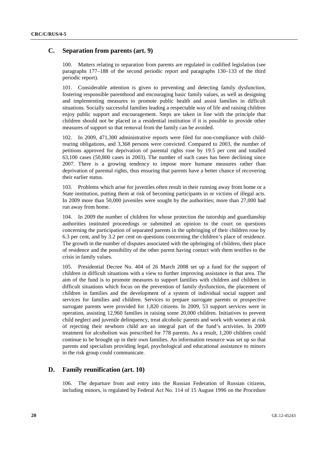### **C. Separation from parents (art. 9)**

100. Matters relating to separation from parents are regulated in codified legislation (see paragraphs 177–188 of the second periodic report and paragraphs 130–133 of the third periodic report).

101. Considerable attention is given to preventing and detecting family dysfunction, fostering responsible parenthood and encouraging basic family values, as well as designing and implementing measures to promote public health and assist families in difficult situations. Socially successful families leading a respectable way of life and raising children enjoy public support and encouragement. Steps are taken in line with the principle that children should not be placed in a residential institution if it is possible to provide other measures of support so that removal from the family can be avoided.

102. In 2009, 471,300 administrative reports were filed for non-compliance with childrearing obligations, and 3,368 persons were convicted. Compared to 2003, the number of petitions approved for deprivation of parental rights rose by 19.5 per cent and totalled 63,100 cases (50,800 cases in 2003). The number of such cases has been declining since 2007. There is a growing tendency to impose more humane measures rather than deprivation of parental rights, thus ensuring that parents have a better chance of recovering their earlier status.

103. Problems which arise for juveniles often result in their running away from home or a State institution, putting them at risk of becoming participants in or victims of illegal acts. In 2009 more than 50,000 juveniles were sought by the authorities; more than 27,000 had run away from home.

104. In 2009 the number of children for whose protection the tutorship and guardianship authorities instituted proceedings or submitted an opinion to the court on questions concerning the participation of separated parents in the upbringing of their children rose by 6.3 per cent, and by 3.2 per cent on questions concerning the children's place of residence. The growth in the number of disputes associated with the upbringing of children, their place of residence and the possibility of the other parent having contact with them testifies to the crisis in family values.

105. Presidential Decree No. 404 of 26 March 2008 set up a fund for the support of children in difficult situations with a view to further improving assistance in that area. The aim of the fund is to promote measures to support families with children and children in difficult situations which focus on the prevention of family dysfunction, the placement of children in families and the development of a system of individual social support and services for families and children. Services to prepare surrogate parents or prospective surrogate parents were provided for 1,820 citizens. In 2009, 53 support services were in operation, assisting 12,960 families in raising some 20,000 children. Initiatives to prevent child neglect and juvenile delinquency, treat alcoholic parents and work with women at risk of rejecting their newborn child are an integral part of the fund's activities. In 2009 treatment for alcoholism was prescribed for 778 parents. As a result, 1,200 children could continue to be brought up in their own families. An information resource was set up so that parents and specialists providing legal, psychological and educational assistance to minors in the risk group could communicate.

#### **D. Family reunification (art. 10)**

106. The departure from and entry into the Russian Federation of Russian citizens, including minors, is regulated by Federal Act No. 114 of 15 August 1996 on the Procedure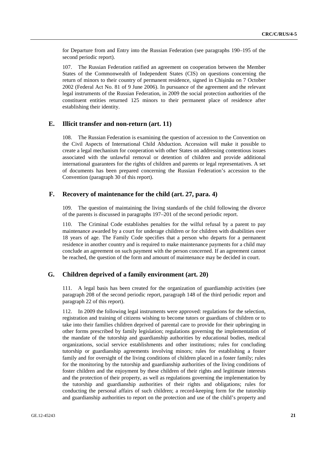for Departure from and Entry into the Russian Federation (see paragraphs 190–195 of the second periodic report).

107. The Russian Federation ratified an agreement on cooperation between the Member States of the Commonwealth of Independent States (CIS) on questions concerning the return of minors to their country of permanent residence, signed in Chişinău on 7 October 2002 (Federal Act No. 81 of 9 June 2006). In pursuance of the agreement and the relevant legal instruments of the Russian Federation, in 2009 the social protection authorities of the constituent entities returned 125 minors to their permanent place of residence after establishing their identity.

### **E. Illicit transfer and non-return (art. 11)**

108. The Russian Federation is examining the question of accession to the Convention on the Civil Aspects of International Child Abduction. Accession will make it possible to create a legal mechanism for cooperation with other States on addressing contentious issues associated with the unlawful removal or detention of children and provide additional international guarantees for the rights of children and parents or legal representatives. A set of documents has been prepared concerning the Russian Federation's accession to the Convention (paragraph 30 of this report).

#### **F. Recovery of maintenance for the child (art. 27, para. 4)**

109. The question of maintaining the living standards of the child following the divorce of the parents is discussed in paragraphs 197–201 of the second periodic report.

110. The Criminal Code establishes penalties for the wilful refusal by a parent to pay maintenance awarded by a court for underage children or for children with disabilities over 18 years of age. The Family Code specifies that a person who departs for a permanent residence in another country and is required to make maintenance payments for a child may conclude an agreement on such payment with the person concerned. If an agreement cannot be reached, the question of the form and amount of maintenance may be decided in court.

### **G. Children deprived of a family environment (art. 20)**

111. A legal basis has been created for the organization of guardianship activities (see paragraph 208 of the second periodic report, paragraph 148 of the third periodic report and paragraph 22 of this report).

112. In 2009 the following legal instruments were approved: regulations for the selection, registration and training of citizens wishing to become tutors or guardians of children or to take into their families children deprived of parental care to provide for their upbringing in other forms prescribed by family legislation; regulations governing the implementation of the mandate of the tutorship and guardianship authorities by educational bodies, medical organizations, social service establishments and other institutions; rules for concluding tutorship or guardianship agreements involving minors; rules for establishing a foster family and for oversight of the living conditions of children placed in a foster family; rules for the monitoring by the tutorship and guardianship authorities of the living conditions of foster children and the enjoyment by these children of their rights and legitimate interests and the protection of their property, as well as regulations governing the implementation by the tutorship and guardianship authorities of their rights and obligations; rules for conducting the personal affairs of such children; a record-keeping form for the tutorship and guardianship authorities to report on the protection and use of the child's property and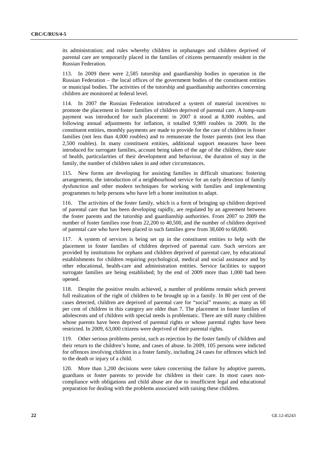its administration; and rules whereby children in orphanages and children deprived of parental care are temporarily placed in the families of citizens permanently resident in the Russian Federation.

113. In 2009 there were 2,585 tutorship and guardianship bodies in operation in the Russian Federation – the local offices of the government bodies of the constituent entities or municipal bodies. The activities of the tutorship and guardianship authorities concerning children are monitored at federal level.

114. In 2007 the Russian Federation introduced a system of material incentives to promote the placement in foster families of children deprived of parental care. A lump-sum payment was introduced for such placement: in 2007 it stood at 8,000 roubles, and following annual adjustments for inflation, it totalled 9,989 roubles in 2009. In the constituent entities, monthly payments are made to provide for the care of children in foster families (not less than 4,000 roubles) and to remunerate the foster parents (not less than 2,500 roubles). In many constituent entities, additional support measures have been introduced for surrogate families, account being taken of the age of the children, their state of health, particularities of their development and behaviour, the duration of stay in the family, the number of children taken in and other circumstances.

115. New forms are developing for assisting families in difficult situations: fostering arrangements, the introduction of a neighbourhood service for an early detection of family dysfunction and other modern techniques for working with families and implementing programmes to help persons who have left a home institution to adapt.

116. The activities of the foster family, which is a form of bringing up children deprived of parental care that has been developing rapidly, are regulated by an agreement between the foster parents and the tutorship and guardianship authorities. From 2007 to 2009 the number of foster families rose from 22,200 to 40,500, and the number of children deprived of parental care who have been placed in such families grew from 38,600 to 68,000.

117. A system of services is being set up in the constituent entities to help with the placement in foster families of children deprived of parental care. Such services are provided by institutions for orphans and children deprived of parental care, by educational establishments for children requiring psychological, medical and social assistance and by other educational, health-care and administration entities. Service facilities to support surrogate families are being established; by the end of 2009 more than 1,000 had been opened.

118. Despite the positive results achieved, a number of problems remain which prevent full realization of the right of children to be brought up in a family. In 80 per cent of the cases detected, children are deprived of parental care for "social" reasons; as many as 60 per cent of children in this category are older than 7. The placement in foster families of adolescents and of children with special needs is problematic. There are still many children whose parents have been deprived of parental rights or whose parental rights have been restricted. In 2009, 63,000 citizens were deprived of their parental rights.

119. Other serious problems persist, such as rejection by the foster family of children and their return to the children's home, and cases of abuse. In 2009, 105 persons were indicted for offences involving children in a foster family, including 24 cases for offences which led to the death or injury of a child.

120. More than 1,200 decisions were taken concerning the failure by adoptive parents, guardians or foster parents to provide for children in their care. In most cases noncompliance with obligations and child abuse are due to insufficient legal and educational preparation for dealing with the problems associated with raising these children.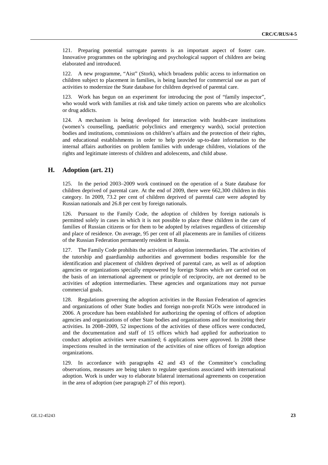121. Preparing potential surrogate parents is an important aspect of foster care. Innovative programmes on the upbringing and psychological support of children are being elaborated and introduced.

122. A new programme, "Aist" (Stork), which broadens public access to information on children subject to placement in families, is being launched for commercial use as part of activities to modernize the State database for children deprived of parental care.

123. Work has begun on an experiment for introducing the post of "family inspector", who would work with families at risk and take timely action on parents who are alcoholics or drug addicts.

124. A mechanism is being developed for interaction with health-care institutions (women's counselling, paediatric polyclinics and emergency wards), social protection bodies and institutions, commissions on children's affairs and the protection of their rights, and educational establishments in order to help provide up-to-date information to the internal affairs authorities on problem families with underage children, violations of the rights and legitimate interests of children and adolescents, and child abuse.

### **H. Adoption (art. 21)**

125. In the period 2003–2009 work continued on the operation of a State database for children deprived of parental care. At the end of 2009, there were 662,300 children in this category. In 2009, 73.2 per cent of children deprived of parental care were adopted by Russian nationals and 26.8 per cent by foreign nationals.

126. Pursuant to the Family Code, the adoption of children by foreign nationals is permitted solely in cases in which it is not possible to place these children in the care of families of Russian citizens or for them to be adopted by relatives regardless of citizenship and place of residence. On average, 95 per cent of all placements are in families of citizens of the Russian Federation permanently resident in Russia.

127. The Family Code prohibits the activities of adoption intermediaries. The activities of the tutorship and guardianship authorities and government bodies responsible for the identification and placement of children deprived of parental care, as well as of adoption agencies or organizations specially empowered by foreign States which are carried out on the basis of an international agreement or principle of reciprocity, are not deemed to be activities of adoption intermediaries. These agencies and organizations may not pursue commercial goals.

128. Regulations governing the adoption activities in the Russian Federation of agencies and organizations of other State bodies and foreign non-profit NGOs were introduced in 2006. A procedure has been established for authorizing the opening of offices of adoption agencies and organizations of other State bodies and organizations and for monitoring their activities. In 2008–2009, 52 inspections of the activities of these offices were conducted, and the documentation and staff of 15 offices which had applied for authorization to conduct adoption activities were examined; 6 applications were approved. In 2008 these inspections resulted in the termination of the activities of nine offices of foreign adoption organizations.

129. In accordance with paragraphs 42 and 43 of the Committee's concluding observations, measures are being taken to regulate questions associated with international adoption. Work is under way to elaborate bilateral international agreements on cooperation in the area of adoption (see paragraph 27 of this report).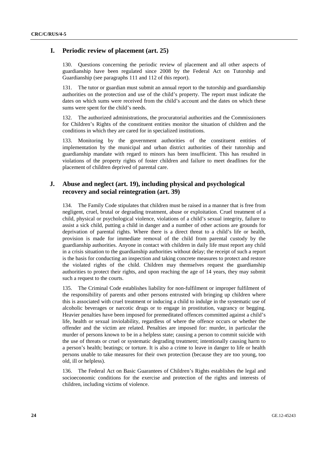#### **I. Periodic review of placement (art. 25)**

130. Questions concerning the periodic review of placement and all other aspects of guardianship have been regulated since 2008 by the Federal Act on Tutorship and Guardianship (see paragraphs 111 and 112 of this report).

131. The tutor or guardian must submit an annual report to the tutorship and guardianship authorities on the protection and use of the child's property. The report must indicate the dates on which sums were received from the child's account and the dates on which these sums were spent for the child's needs.

132. The authorized administrations, the procuratorial authorities and the Commissioners for Children's Rights of the constituent entities monitor the situation of children and the conditions in which they are cared for in specialized institutions.

133. Monitoring by the government authorities of the constituent entities of implementation by the municipal and urban district authorities of their tutorship and guardianship mandate with regard to minors has been insufficient. This has resulted in violations of the property rights of foster children and failure to meet deadlines for the placement of children deprived of parental care.

### **J. Abuse and neglect (art. 19), including physical and psychological recovery and social reintegration (art. 39)**

134. The Family Code stipulates that children must be raised in a manner that is free from negligent, cruel, brutal or degrading treatment, abuse or exploitation. Cruel treatment of a child, physical or psychological violence, violations of a child's sexual integrity, failure to assist a sick child, putting a child in danger and a number of other actions are grounds for deprivation of parental rights. Where there is a direct threat to a child's life or health, provision is made for immediate removal of the child from parental custody by the guardianship authorities. Anyone in contact with children in daily life must report any child in a crisis situation to the guardianship authorities without delay; the receipt of such a report is the basis for conducting an inspection and taking concrete measures to protect and restore the violated rights of the child. Children may themselves request the guardianship authorities to protect their rights, and upon reaching the age of 14 years, they may submit such a request to the courts.

135. The Criminal Code establishes liability for non-fulfilment or improper fulfilment of the responsibility of parents and other persons entrusted with bringing up children where this is associated with cruel treatment or inducing a child to indulge in the systematic use of alcoholic beverages or narcotic drugs or to engage in prostitution, vagrancy or begging. Heavier penalties have been imposed for premeditated offences committed against a child's life, health or sexual inviolability, regardless of where the offence occurs or whether the offender and the victim are related. Penalties are imposed for: murder, in particular the murder of persons known to be in a helpless state; causing a person to commit suicide with the use of threats or cruel or systematic degrading treatment; intentionally causing harm to a person's health; beatings; or torture. It is also a crime to leave in danger to life or health persons unable to take measures for their own protection (because they are too young, too old, ill or helpless).

136. The Federal Act on Basic Guarantees of Children's Rights establishes the legal and socioeconomic conditions for the exercise and protection of the rights and interests of children, including victims of violence.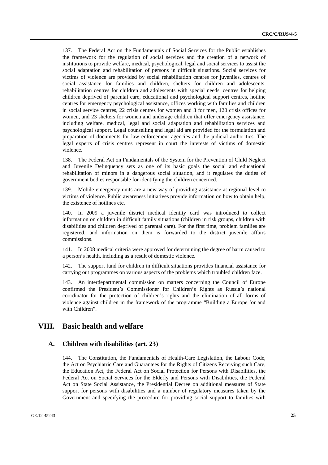137. The Federal Act on the Fundamentals of Social Services for the Public establishes the framework for the regulation of social services and the creation of a network of institutions to provide welfare, medical, psychological, legal and social services to assist the social adaptation and rehabilitation of persons in difficult situations. Social services for victims of violence are provided by social rehabilitation centres for juveniles, centres of social assistance for families and children, shelters for children and adolescents, rehabilitation centres for children and adolescents with special needs, centres for helping children deprived of parental care, educational and psychological support centres, hotline centres for emergency psychological assistance, offices working with families and children in social service centres, 22 crisis centres for women and 3 for men, 120 crisis offices for women, and 23 shelters for women and underage children that offer emergency assistance, including welfare, medical, legal and social adaptation and rehabilitation services and psychological support. Legal counselling and legal aid are provided for the formulation and preparation of documents for law enforcement agencies and the judicial authorities. The legal experts of crisis centres represent in court the interests of victims of domestic violence.

138. The Federal Act on Fundamentals of the System for the Prevention of Child Neglect and Juvenile Delinquency sets as one of its basic goals the social and educational rehabilitation of minors in a dangerous social situation, and it regulates the duties of government bodies responsible for identifying the children concerned.

139. Mobile emergency units are a new way of providing assistance at regional level to victims of violence. Public awareness initiatives provide information on how to obtain help, the existence of hotlines etc.

140. In 2009 a juvenile district medical identity card was introduced to collect information on children in difficult family situations (children in risk groups, children with disabilities and children deprived of parental care). For the first time, problem families are registered, and information on them is forwarded to the district juvenile affairs commissions.

141. In 2008 medical criteria were approved for determining the degree of harm caused to a person's health, including as a result of domestic violence.

142. The support fund for children in difficult situations provides financial assistance for carrying out programmes on various aspects of the problems which troubled children face.

143. An interdepartmental commission on matters concerning the Council of Europe confirmed the President's Commissioner for Children's Rights as Russia's national coordinator for the protection of children's rights and the elimination of all forms of violence against children in the framework of the programme "Building a Europe for and with Children".

## **VIII. Basic health and welfare**

#### **A. Children with disabilities (art. 23)**

144. The Constitution, the Fundamentals of Health-Care Legislation, the Labour Code, the Act on Psychiatric Care and Guarantees for the Rights of Citizens Receiving such Care, the Education Act, the Federal Act on Social Protection for Persons with Disabilities, the Federal Act on Social Services for the Elderly and Persons with Disabilities, the Federal Act on State Social Assistance, the Presidential Decree on additional measures of State support for persons with disabilities and a number of regulatory measures taken by the Government and specifying the procedure for providing social support to families with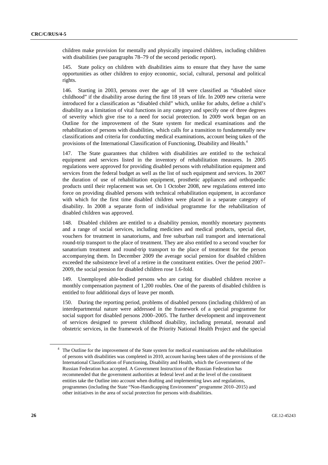children make provision for mentally and physically impaired children, including children with disabilities (see paragraphs 78–79 of the second periodic report).

145. State policy on children with disabilities aims to ensure that they have the same opportunities as other children to enjoy economic, social, cultural, personal and political rights.

146. Starting in 2003, persons over the age of 18 were classified as "disabled since childhood" if the disability arose during the first 18 years of life. In 2009 new criteria were introduced for a classification as "disabled child" which, unlike for adults, define a child's disability as a limitation of vital functions in any category and specify one of three degrees of severity which give rise to a need for social protection. In 2009 work began on an Outline for the improvement of the State system for medical examinations and the rehabilitation of persons with disabilities, which calls for a transition to fundamentally new classifications and criteria for conducting medical examinations, account being taken of the provisions of the International Classification of Functioning, Disability and Health.4

147. The State guarantees that children with disabilities are entitled to the technical equipment and services listed in the inventory of rehabilitation measures. In 2005 regulations were approved for providing disabled persons with rehabilitation equipment and services from the federal budget as well as the list of such equipment and services. In 2007 the duration of use of rehabilitation equipment, prosthetic appliances and orthopaedic products until their replacement was set. On 1 October 2008, new regulations entered into force on providing disabled persons with technical rehabilitation equipment, in accordance with which for the first time disabled children were placed in a separate category of disability. In 2008 a separate form of individual programme for the rehabilitation of disabled children was approved.

148. Disabled children are entitled to a disability pension, monthly monetary payments and a range of social services, including medicines and medical products, special diet, vouchers for treatment in sanatoriums, and free suburban rail transport and international round-trip transport to the place of treatment. They are also entitled to a second voucher for sanatorium treatment and round-trip transport to the place of treatment for the person accompanying them. In December 2009 the average social pension for disabled children exceeded the subsistence level of a retiree in the constituent entities. Over the period 2007– 2009, the social pension for disabled children rose 1.6-fold.

149. Unemployed able-bodied persons who are caring for disabled children receive a monthly compensation payment of 1,200 roubles. One of the parents of disabled children is entitled to four additional days of leave per month.

150. During the reporting period, problems of disabled persons (including children) of an interdepartmental nature were addressed in the framework of a special programme for social support for disabled persons 2000–2005. The further development and improvement of services designed to prevent childhood disability, including prenatal, neonatal and obstetric services, in the framework of the Priority National Health Project and the special

<sup>&</sup>lt;sup>4</sup> The Outline for the improvement of the State system for medical examinations and the rehabilitation of persons with disabilities was completed in 2010, account having been taken of the provisions of the International Classification of Functioning, Disability and Health, which the Government of the Russian Federation has accepted. A Government Instruction of the Russian Federation has recommended that the government authorities at federal level and at the level of the constituent entities take the Outline into account when drafting and implementing laws and regulations, programmes (including the State "Non-Handicapping Environment" programme 2010–2015) and other initiatives in the area of social protection for persons with disabilities.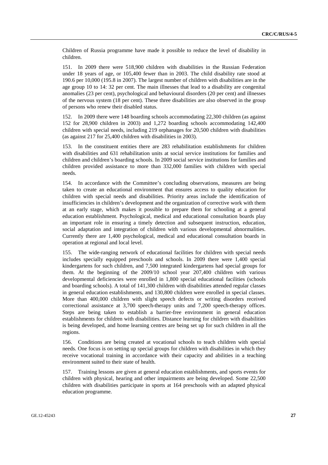Children of Russia programme have made it possible to reduce the level of disability in children.

151. In 2009 there were 518,900 children with disabilities in the Russian Federation under 18 years of age, or 105,400 fewer than in 2003. The child disability rate stood at 190.6 per 10,000 (195.8 in 2007). The largest number of children with disabilities are in the age group 10 to 14: 32 per cent. The main illnesses that lead to a disability are congenital anomalies (23 per cent), psychological and behavioural disorders (20 per cent) and illnesses of the nervous system (18 per cent). These three disabilities are also observed in the group of persons who renew their disabled status.

152. In 2009 there were 148 boarding schools accommodating 22,300 children (as against 152 for 28,900 children in 2003) and 1,272 boarding schools accommodating 142,400 children with special needs, including 219 orphanages for 20,500 children with disabilities (as against 217 for 25,400 children with disabilities in 2003).

153. In the constituent entities there are 283 rehabilitation establishments for children with disabilities and 631 rehabilitation units at social service institutions for families and children and children's boarding schools. In 2009 social service institutions for families and children provided assistance to more than 332,000 families with children with special needs.

154. In accordance with the Committee's concluding observations, measures are being taken to create an educational environment that ensures access to quality education for children with special needs and disabilities. Priority areas include the identification of insufficiencies in children's development and the organization of corrective work with them at an early stage, which makes it possible to prepare them for schooling at a general education establishment. Psychological, medical and educational consultation boards play an important role in ensuring a timely detection and subsequent instruction, education, social adaptation and integration of children with various developmental abnormalities. Currently there are 1,400 psychological, medical and educational consultation boards in operation at regional and local level.

155. The wide-ranging network of educational facilities for children with special needs includes specially equipped preschools and schools. In 2009 there were 1,400 special kindergartens for such children, and 7,500 integrated kindergartens had special groups for them. At the beginning of the 2009/10 school year 207,400 children with various developmental deficiencies were enrolled in 1,800 special educational facilities (schools and boarding schools). A total of 141,300 children with disabilities attended regular classes in general education establishments, and 130,800 children were enrolled in special classes. More than 400,000 children with slight speech defects or writing disorders received correctional assistance at 3,700 speech-therapy units and 7,200 speech-therapy offices. Steps are being taken to establish a barrier-free environment in general education establishments for children with disabilities. Distance learning for children with disabilities is being developed, and home learning centres are being set up for such children in all the regions.

156. Conditions are being created at vocational schools to teach children with special needs. One focus is on setting up special groups for children with disabilities in which they receive vocational training in accordance with their capacity and abilities in a teaching environment suited to their state of health.

157. Training lessons are given at general education establishments, and sports events for children with physical, hearing and other impairments are being developed. Some 22,500 children with disabilities participate in sports at 164 preschools with an adapted physical education programme.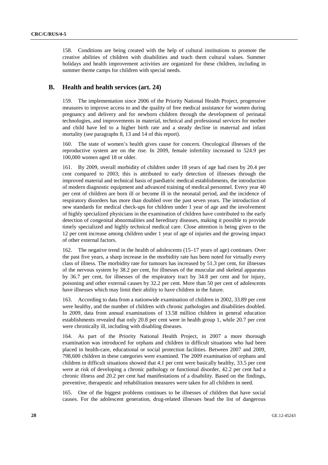158. Conditions are being created with the help of cultural institutions to promote the creative abilities of children with disabilities and teach them cultural values. Summer holidays and health improvement activities are organized for these children, including in summer theme camps for children with special needs.

### **B. Health and health services (art. 24)**

159. The implementation since 2006 of the Priority National Health Project, progressive measures to improve access to and the quality of free medical assistance for women during pregnancy and delivery and for newborn children through the development of perinatal technologies, and improvements in material, technical and professional services for mother and child have led to a higher birth rate and a steady decline in maternal and infant mortality (see paragraphs 8, 13 and 14 of this report).

160. The state of women's health gives cause for concern. Oncological illnesses of the reproductive system are on the rise. In 2009, female infertility increased to 524.9 per 100,000 women aged 18 or older.

161. By 2009, overall morbidity of children under 18 years of age had risen by 20.4 per cent compared to 2003; this is attributed to early detection of illnesses through the improved material and technical basis of paediatric medical establishments, the introduction of modern diagnostic equipment and advanced training of medical personnel. Every year 40 per cent of children are born ill or become ill in the neonatal period, and the incidence of respiratory disorders has more than doubled over the past seven years. The introduction of new standards for medical check-ups for children under 1 year of age and the involvement of highly specialized physicians in the examination of children have contributed to the early detection of congenital abnormalities and hereditary diseases, making it possible to provide timely specialized and highly technical medical care. Close attention is being given to the 12 per cent increase among children under 1 year of age of injuries and the growing impact of other external factors.

162. The negative trend in the health of adolescents (15–17 years of age) continues. Over the past five years, a sharp increase in the morbidity rate has been noted for virtually every class of illness. The morbidity rate for tumours has increased by 51.3 per cent, for illnesses of the nervous system by 38.2 per cent, for illnesses of the muscular and skeletal apparatus by 36.7 per cent, for illnesses of the respiratory tract by 34.8 per cent and for injury, poisoning and other external causes by 32.2 per cent. More than 50 per cent of adolescents have illnesses which may limit their ability to have children in the future.

163. According to data from a nationwide examination of children in 2002, 33.89 per cent were healthy, and the number of children with chronic pathologies and disabilities doubled. In 2009, data from annual examinations of 13.58 million children in general education establishments revealed that only 20.8 per cent were in health group 1, while 20.7 per cent were chronically ill, including with disabling diseases.

164. As part of the Priority National Health Project, in 2007 a more thorough examination was introduced for orphans and children in difficult situations who had been placed in health-care, educational or social protection facilities. Between 2007 and 2009, 798,600 children in these categories were examined. The 2009 examination of orphans and children in difficult situations showed that 4.1 per cent were basically healthy, 33.5 per cent were at risk of developing a chronic pathology or functional disorder, 42.2 per cent had a chronic illness and 20.2 per cent had manifestations of a disability. Based on the findings, preventive, therapeutic and rehabilitation measures were taken for all children in need.

165. One of the biggest problems continues to be illnesses of children that have social causes. For the adolescent generation, drug-related illnesses head the list of dangerous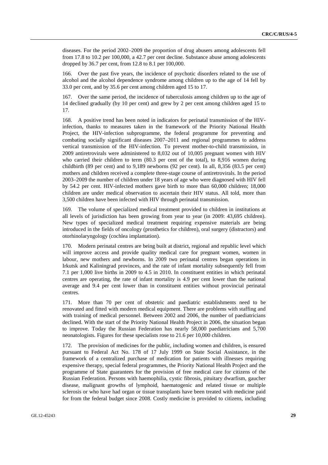diseases. For the period 2002–2009 the proportion of drug abusers among adolescents fell from 17.8 to 10.2 per 100,000, a 42.7 per cent decline. Substance abuse among adolescents dropped by 36.7 per cent, from 12.8 to 8.1 per 100,000.

166. Over the past five years, the incidence of psychotic disorders related to the use of alcohol and the alcohol dependence syndrome among children up to the age of 14 fell by 33.0 per cent, and by 35.6 per cent among children aged 15 to 17.

167. Over the same period, the incidence of tuberculosis among children up to the age of 14 declined gradually (by 10 per cent) and grew by 2 per cent among children aged 15 to 17.

168. A positive trend has been noted in indicators for perinatal transmission of the HIVinfection, thanks to measures taken in the framework of the Priority National Health Project, the HIV-infection subprogramme, the federal programme for preventing and combating socially significant diseases 2007–2011 and regional programmes to address vertical transmission of the HIV-infection. To prevent mother-to-child transmission, in 2009 antiretrovirals were administered to 8,032 out of 10,005 pregnant women with HIV who carried their children to term (80.3 per cent of the total), to 8,916 women during childbirth (89 per cent) and to 9,189 newborns (92 per cent). In all, 8,356 (83.5 per cent) mothers and children received a complete three-stage course of antiretrovirals. In the period 2003–2009 the number of children under 18 years of age who were diagnosed with HIV fell by 54.2 per cent. HIV-infected mothers gave birth to more than 60,000 children; 18,000 children are under medical observation to ascertain their HIV status. All told, more than 3,500 children have been infected with HIV through perinatal transmission.

169. The volume of specialized medical treatment provided to children in institutions at all levels of jurisdiction has been growing from year to year (in 2009: 43,695 children). New types of specialized medical treatment requiring expensive materials are being introduced in the fields of oncology (prosthetics for children), oral surgery (distractors) and otorhinolaryngology (cochlea implantation).

170. Modern perinatal centres are being built at district, regional and republic level which will improve access and provide quality medical care for pregnant women, women in labour, new mothers and newborns. In 2009 two perinatal centres began operations in Irkutsk and Kaliningrad provinces, and the rate of infant mortality subsequently fell from 7.1 per 1,000 live births in 2009 to 4.5 in 2010. In constituent entities in which perinatal centres are operating, the rate of infant mortality is 4.9 per cent lower than the national average and 9.4 per cent lower than in constituent entities without provincial perinatal centres.

171. More than 70 per cent of obstetric and paediatric establishments need to be renovated and fitted with modern medical equipment. There are problems with staffing and with training of medical personnel. Between 2002 and 2006, the number of paediatricians declined. With the start of the Priority National Health Project in 2006, the situation began to improve. Today the Russian Federation has nearly 58,000 paediatricians and 5,700 neonatologists. Figures for these specialists rose to 21.6 per 10,000 children.

172. The provision of medicines for the public, including women and children, is ensured pursuant to Federal Act No. 178 of 17 July 1999 on State Social Assistance, in the framework of a centralized purchase of medication for patients with illnesses requiring expensive therapy, special federal programmes, the Priority National Health Project and the programme of State guarantees for the provision of free medical care for citizens of the Russian Federation. Persons with haemophilia, cystic fibrosis, pituitary dwarfism, gaucher disease, malignant growths of lymphoid, haematogenic and related tissue or multiple sclerosis or who have had organ or tissue transplants have been treated with medicine paid for from the federal budget since 2008. Costly medicine is provided to citizens, including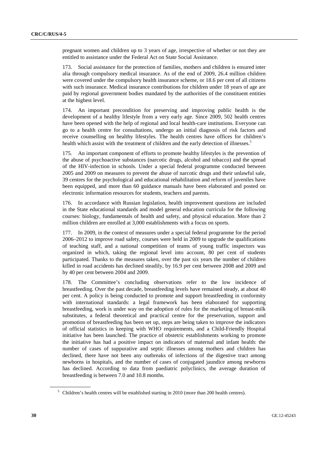pregnant women and children up to 3 years of age, irrespective of whether or not they are entitled to assistance under the Federal Act on State Social Assistance.

173. Social assistance for the protection of families, mothers and children is ensured inter alia through compulsory medical insurance. As of the end of 2009, 26.4 million children were covered under the compulsory health insurance scheme, or 18.6 per cent of all citizens with such insurance. Medical insurance contributions for children under 18 years of age are paid by regional government bodies mandated by the authorities of the constituent entities at the highest level.

174. An important precondition for preserving and improving public health is the development of a healthy lifestyle from a very early age. Since 2009, 502 health centres have been opened with the help of regional and local health-care institutions. Everyone can go to a health centre for consultations, undergo an initial diagnosis of risk factors and receive counselling on healthy lifestyles. The health centres have offices for children's health which assist with the treatment of children and the early detection of illnesses.<sup>5</sup>

175. An important component of efforts to promote healthy lifestyles is the prevention of the abuse of psychoactive substances (narcotic drugs, alcohol and tobacco) and the spread of the HIV-infection in schools. Under a special federal programme conducted between 2005 and 2009 on measures to prevent the abuse of narcotic drugs and their unlawful sale, 39 centres for the psychological and educational rehabilitation and reform of juveniles have been equipped, and more than 60 guidance manuals have been elaborated and posted on electronic information resources for students, teachers and parents.

176. In accordance with Russian legislation, health improvement questions are included in the State educational standards and model general education curricula for the following courses: biology, fundamentals of health and safety, and physical education. More than 2 million children are enrolled at 3,000 establishments with a focus on sports.

177. In 2009, in the context of measures under a special federal programme for the period 2006–2012 to improve road safety, courses were held in 2009 to upgrade the qualifications of teaching staff, and a national competition of teams of young traffic inspectors was organized in which, taking the regional level into account, 80 per cent of students participated. Thanks to the measures taken, over the past six years the number of children killed in road accidents has declined steadily, by 16.9 per cent between 2008 and 2009 and by 40 per cent between 2004 and 2009.

178. The Committee's concluding observations refer to the low incidence of breastfeeding. Over the past decade, breastfeeding levels have remained steady, at about 40 per cent. A policy is being conducted to promote and support breastfeeding in conformity with international standards: a legal framework has been elaborated for supporting breastfeeding, work is under way on the adoption of rules for the marketing of breast-milk substitutes, a federal theoretical and practical centre for the preservation, support and promotion of breastfeeding has been set up, steps are being taken to improve the indicators of official statistics in keeping with WHO requirements, and a Child-Friendly Hospital initiative has been launched. The practice of obstetric establishments working to promote the initiative has had a positive impact on indicators of maternal and infant health: the number of cases of suppurative and septic illnesses among mothers and children has declined, there have not been any outbreaks of infections of the digestive tract among newborns in hospitals, and the number of cases of conjugated jaundice among newborns has declined. According to data from paediatric polyclinics, the average duration of breastfeeding is between 7.0 and 10.8 months.

<sup>&</sup>lt;sup>5</sup> Children's health centres will be established starting in 2010 (more than 200 health centres).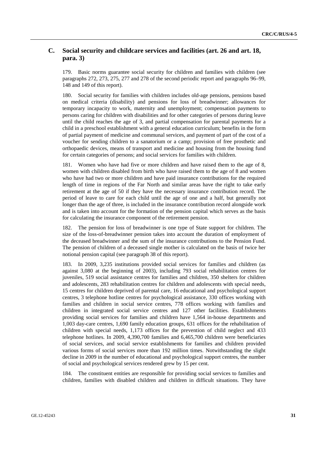## **C. Social security and childcare services and facilities (art. 26 and art. 18, para. 3)**

179. Basic norms guarantee social security for children and families with children (see paragraphs 272, 273, 275, 277 and 278 of the second periodic report and paragraphs 96–99, 148 and 149 of this report).

180. Social security for families with children includes old-age pensions, pensions based on medical criteria (disability) and pensions for loss of breadwinner; allowances for temporary incapacity to work, maternity and unemployment; compensation payments to persons caring for children with disabilities and for other categories of persons during leave until the child reaches the age of 3, and partial compensation for parental payments for a child in a preschool establishment with a general education curriculum; benefits in the form of partial payment of medicine and communal services, and payment of part of the cost of a voucher for sending children to a sanatorium or a camp; provision of free prosthetic and orthopaedic devices, means of transport and medicine and housing from the housing fund for certain categories of persons; and social services for families with children.

181. Women who have had five or more children and have raised them to the age of 8, women with children disabled from birth who have raised them to the age of 8 and women who have had two or more children and have paid insurance contributions for the required length of time in regions of the Far North and similar areas have the right to take early retirement at the age of 50 if they have the necessary insurance contribution record. The period of leave to care for each child until the age of one and a half, but generally not longer than the age of three, is included in the insurance contribution record alongside work and is taken into account for the formation of the pension capital which serves as the basis for calculating the insurance component of the retirement pension.

182. The pension for loss of breadwinner is one type of State support for children. The size of the loss-of-breadwinner pension takes into account the duration of employment of the deceased breadwinner and the sum of the insurance contributions to the Pension Fund. The pension of children of a deceased single mother is calculated on the basis of twice her notional pension capital (see paragraph 38 of this report).

183. In 2009, 3,235 institutions provided social services for families and children (as against 3,080 at the beginning of 2003), including 793 social rehabilitation centres for juveniles, 519 social assistance centres for families and children, 350 shelters for children and adolescents, 283 rehabilitation centres for children and adolescents with special needs, 15 centres for children deprived of parental care, 16 educational and psychological support centres, 3 telephone hotline centres for psychological assistance, 330 offices working with families and children in social service centres, 778 offices working with families and children in integrated social service centres and 127 other facilities. Establishments providing social services for families and children have 1,564 in-house departments and 1,003 day-care centres, 1,690 family education groups, 631 offices for the rehabilitation of children with special needs, 1,173 offices for the prevention of child neglect and 433 telephone hotlines. In 2009, 4,390,700 families and 6,465,700 children were beneficiaries of social services, and social service establishments for families and children provided various forms of social services more than 192 million times. Notwithstanding the slight decline in 2009 in the number of educational and psychological support centres, the number of social and psychological services rendered grew by 15 per cent.

184. The constituent entities are responsible for providing social services to families and children, families with disabled children and children in difficult situations. They have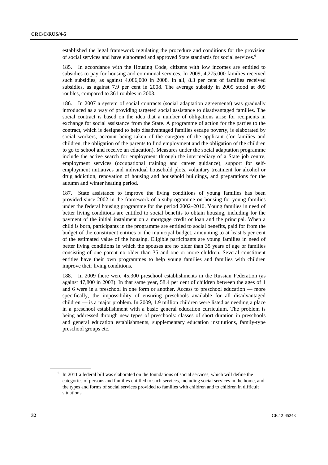established the legal framework regulating the procedure and conditions for the provision of social services and have elaborated and approved State standards for social services.<sup>6</sup>

185. In accordance with the Housing Code, citizens with low incomes are entitled to subsidies to pay for housing and communal services. In 2009, 4,275,000 families received such subsidies, as against 4,086,000 in 2008. In all, 8.3 per cent of families received subsidies, as against 7.9 per cent in 2008. The average subsidy in 2009 stood at 809 roubles, compared to 361 roubles in 2003.

186. In 2007 a system of social contracts (social adaptation agreements) was gradually introduced as a way of providing targeted social assistance to disadvantaged families. The social contract is based on the idea that a number of obligations arise for recipients in exchange for social assistance from the State. A programme of action for the parties to the contract, which is designed to help disadvantaged families escape poverty, is elaborated by social workers, account being taken of the category of the applicant (for families and children, the obligation of the parents to find employment and the obligation of the children to go to school and receive an education). Measures under the social adaptation programme include the active search for employment through the intermediary of a State job centre, employment services (occupational training and career guidance), support for selfemployment initiatives and individual household plots, voluntary treatment for alcohol or drug addiction, renovation of housing and household buildings, and preparations for the autumn and winter heating period.

187. State assistance to improve the living conditions of young families has been provided since 2002 in the framework of a subprogramme on housing for young families under the federal housing programme for the period 2002–2010. Young families in need of better living conditions are entitled to social benefits to obtain housing, including for the payment of the initial instalment on a mortgage credit or loan and the principal. When a child is born, participants in the programme are entitled to social benefits, paid for from the budget of the constituent entities or the municipal budget, amounting to at least 5 per cent of the estimated value of the housing. Eligible participants are young families in need of better living conditions in which the spouses are no older than 35 years of age or families consisting of one parent no older than 35 and one or more children. Several constituent entities have their own programmes to help young families and families with children improve their living conditions.

188. In 2009 there were 45,300 preschool establishments in the Russian Federation (as against 47,800 in 2003). In that same year, 58.4 per cent of children between the ages of 1 and 6 were in a preschool in one form or another. Access to preschool education — more specifically, the impossibility of ensuring preschools available for all disadvantaged children — is a major problem. In 2009, 1.9 million children were listed as needing a place in a preschool establishment with a basic general education curriculum. The problem is being addressed through new types of preschools: classes of short duration in preschools and general education establishments, supplementary education institutions, family-type preschool groups etc.

<sup>&</sup>lt;sup>6</sup> In 2011 a federal bill was elaborated on the foundations of social services, which will define the categories of persons and families entitled to such services, including social services in the home, and the types and forms of social services provided to families with children and to children in difficult situations.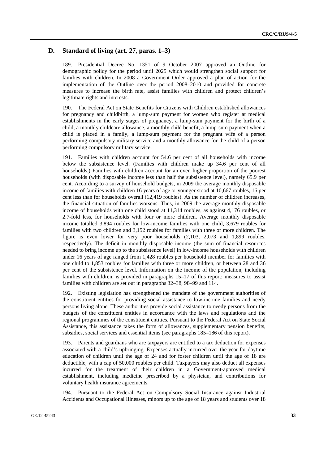### **D. Standard of living (art. 27, paras. 1–3)**

189. Presidential Decree No. 1351 of 9 October 2007 approved an Outline for demographic policy for the period until 2025 which would strengthen social support for families with children. In 2008 a Government Order approved a plan of action for the implementation of the Outline over the period 2008–2010 and provided for concrete measures to increase the birth rate, assist families with children and protect children's legitimate rights and interests.

190. The Federal Act on State Benefits for Citizens with Children established allowances for pregnancy and childbirth, a lump-sum payment for women who register at medical establishments in the early stages of pregnancy, a lump-sum payment for the birth of a child, a monthly childcare allowance, a monthly child benefit, a lump-sum payment when a child is placed in a family, a lump-sum payment for the pregnant wife of a person performing compulsory military service and a monthly allowance for the child of a person performing compulsory military service.

191. Families with children account for 54.6 per cent of all households with income below the subsistence level. (Families with children make up 34.6 per cent of all households.) Families with children account for an even higher proportion of the poorest households (with disposable income less than half the subsistence level), namely 65.9 per cent. According to a survey of household budgets, in 2009 the average monthly disposable income of families with children 16 years of age or younger stood at 10,667 roubles, 16 per cent less than for households overall (12,419 roubles). As the number of children increases, the financial situation of families worsens. Thus, in 2009 the average monthly disposable income of households with one child stood at 11,314 roubles, as against 4,176 roubles, or 2.7-fold less, for households with four or more children. Average monthly disposable income totalled 3,894 roubles for low-income families with one child, 3,679 roubles for families with two children and 3,152 roubles for families with three or more children. The figure is even lower for very poor households (2,103, 2,073 and 1,899 roubles, respectively). The deficit in monthly disposable income (the sum of financial resources needed to bring income up to the subsistence level) in low-income households with children under 16 years of age ranged from 1,428 roubles per household member for families with one child to 1,853 roubles for families with three or more children, or between 28 and 36 per cent of the subsistence level. Information on the income of the population, including families with children, is provided in paragraphs 15–17 of this report; measures to assist families with children are set out in paragraphs 32–38, 98–99 and 114.

192. Existing legislation has strengthened the mandate of the government authorities of the constituent entities for providing social assistance to low-income families and needy persons living alone. These authorities provide social assistance to needy persons from the budgets of the constituent entities in accordance with the laws and regulations and the regional programmes of the constituent entities. Pursuant to the Federal Act on State Social Assistance, this assistance takes the form of allowances, supplementary pension benefits, subsidies, social services and essential items (see paragraphs 185–186 of this report).

193. Parents and guardians who are taxpayers are entitled to a tax deduction for expenses associated with a child's upbringing. Expenses actually incurred over the year for daytime education of children until the age of 24 and for foster children until the age of 18 are deductible, with a cap of 50,000 roubles per child. Taxpayers may also deduct all expenses incurred for the treatment of their children in a Government-approved medical establishment, including medicine prescribed by a physician, and contributions for voluntary health insurance agreements.

194. Pursuant to the Federal Act on Compulsory Social Insurance against Industrial Accidents and Occupational Illnesses, minors up to the age of 18 years and students over 18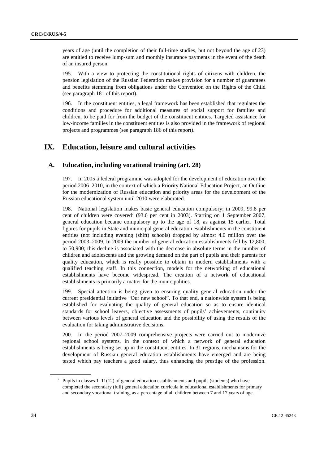years of age (until the completion of their full-time studies, but not beyond the age of 23) are entitled to receive lump-sum and monthly insurance payments in the event of the death of an insured person.

195. With a view to protecting the constitutional rights of citizens with children, the pension legislation of the Russian Federation makes provision for a number of guarantees and benefits stemming from obligations under the Convention on the Rights of the Child (see paragraph 181 of this report).

196. In the constituent entities, a legal framework has been established that regulates the conditions and procedure for additional measures of social support for families and children, to be paid for from the budget of the constituent entities. Targeted assistance for low-income families in the constituent entities is also provided in the framework of regional projects and programmes (see paragraph 186 of this report).

## **IX. Education, leisure and cultural activities**

#### **A. Education, including vocational training (art. 28)**

197. In 2005 a federal programme was adopted for the development of education over the period 2006–2010, in the context of which a Priority National Education Project, an Outline for the modernization of Russian education and priority areas for the development of the Russian educational system until 2010 were elaborated.

198. National legislation makes basic general education compulsory; in 2009, 99.8 per cent of children were covered<sup>7</sup> (93.6 per cent in 2003). Starting on 1 September 2007, general education became compulsory up to the age of 18, as against 15 earlier. Total figures for pupils in State and municipal general education establishments in the constituent entities (not including evening (shift) schools) dropped by almost 4.0 million over the period 2003–2009. In 2009 the number of general education establishments fell by 12,800, to 50,900; this decline is associated with the decrease in absolute terms in the number of children and adolescents and the growing demand on the part of pupils and their parents for quality education, which is really possible to obtain in modern establishments with a qualified teaching staff. In this connection, models for the networking of educational establishments have become widespread. The creation of a network of educational establishments is primarily a matter for the municipalities.

199. Special attention is being given to ensuring quality general education under the current presidential initiative "Our new school". To that end, a nationwide system is being established for evaluating the quality of general education so as to ensure identical standards for school leavers, objective assessments of pupils' achievements, continuity between various levels of general education and the possibility of using the results of the evaluation for taking administrative decisions.

200. In the period 2007–2009 comprehensive projects were carried out to modernize regional school systems, in the context of which a network of general education establishments is being set up in the constituent entities. In 31 regions, mechanisms for the development of Russian general education establishments have emerged and are being tested which pay teachers a good salary, thus enhancing the prestige of the profession.

<sup>7</sup> Pupils in classes 1–11(12) of general education establishments and pupils (students) who have completed the secondary (full) general education curricula in educational establishments for primary and secondary vocational training, as a percentage of all children between 7 and 17 years of age.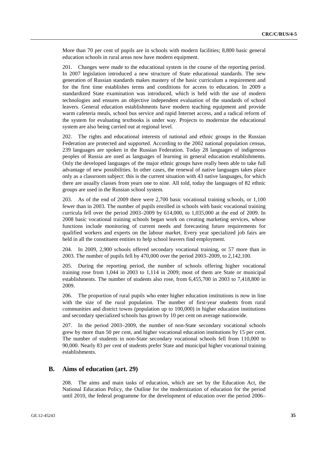More than 70 per cent of pupils are in schools with modern facilities; 8,800 basic general education schools in rural areas now have modern equipment.

201. Changes were made to the educational system in the course of the reporting period. In 2007 legislation introduced a new structure of State educational standards. The new generation of Russian standards makes mastery of the basic curriculum a requirement and for the first time establishes terms and conditions for access to education. In 2009 a standardized State examination was introduced, which is held with the use of modern technologies and ensures an objective independent evaluation of the standards of school leavers. General education establishments have modern teaching equipment and provide warm cafeteria meals, school bus service and rapid Internet access, and a radical reform of the system for evaluating textbooks is under way. Projects to modernize the educational system are also being carried out at regional level.

202. The rights and educational interests of national and ethnic groups in the Russian Federation are protected and supported. According to the 2002 national population census, 239 languages are spoken in the Russian Federation. Today 28 languages of indigenous peoples of Russia are used as languages of learning in general education establishments. Only the developed languages of the major ethnic groups have really been able to take full advantage of new possibilities. In other cases, the renewal of native languages takes place only as a classroom subject: this is the current situation with 43 native languages, for which there are usually classes from years one to nine. All told, today the languages of 82 ethnic groups are used in the Russian school system.

203. As of the end of 2009 there were 2,700 basic vocational training schools, or 1,100 fewer than in 2003. The number of pupils enrolled in schools with basic vocational training curricula fell over the period 2003–2009 by 614,000, to 1,035,000 at the end of 2009. In 2008 basic vocational training schools began work on creating marketing services, whose functions include monitoring of current needs and forecasting future requirements for qualified workers and experts on the labour market. Every year specialized job fairs are held in all the constituent entities to help school leavers find employment.

204. In 2009, 2,900 schools offered secondary vocational training, or 57 more than in 2003. The number of pupils fell by 470,000 over the period 2003–2009, to 2,142,100.

205. During the reporting period, the number of schools offering higher vocational training rose from 1,044 in 2003 to 1,114 in 2009; most of them are State or municipal establishments. The number of students also rose, from 6,455,700 in 2003 to 7,418,800 in 2009.

206. The proportion of rural pupils who enter higher education institutions is now in line with the size of the rural population. The number of first-year students from rural communities and district towns (population up to 100,000) in higher education institutions and secondary specialized schools has grown by 10 per cent on average nationwide.

207. In the period 2003–2009, the number of non-State secondary vocational schools grew by more than 50 per cent, and higher vocational education institutions by 15 per cent. The number of students in non-State secondary vocational schools fell from 110,000 to 90,000. Nearly 83 per cent of students prefer State and municipal higher vocational training establishments.

### **B. Aims of education (art. 29)**

208. The aims and main tasks of education, which are set by the Education Act, the National Education Policy, the Outline for the modernization of education for the period until 2010, the federal programme for the development of education over the period 2006–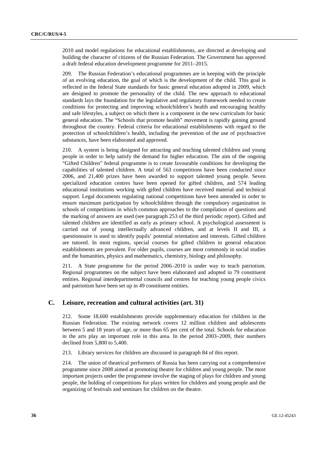2010 and model regulations for educational establishments, are directed at developing and building the character of citizens of the Russian Federation. The Government has approved a draft federal education development programme for 2011–2015.

209. The Russian Federation's educational programmes are in keeping with the principle of an evolving education, the goal of which is the development of the child. This goal is reflected in the federal State standards for basic general education adopted in 2009, which are designed to promote the personality of the child. The new approach to educational standards lays the foundation for the legislative and regulatory framework needed to create conditions for protecting and improving schoolchildren's health and encouraging healthy and safe lifestyles, a subject on which there is a component in the new curriculum for basic general education. The "Schools that promote health" movement is rapidly gaining ground throughout the country. Federal criteria for educational establishments with regard to the protection of schoolchildren's health, including the prevention of the use of psychoactive substances, have been elaborated and approved.

210. A system is being designed for attracting and teaching talented children and young people in order to help satisfy the demand for higher education. The aim of the ongoing "Gifted Children" federal programme is to create favourable conditions for developing the capabilities of talented children. A total of 563 competitions have been conducted since 2006, and 21,400 prizes have been awarded to support talented young people. Seven specialized education centres have been opened for gifted children, and 574 leading educational institutions working with gifted children have received material and technical support. Legal documents regulating national competitions have been amended in order to ensure maximum participation by schoolchildren through the compulsory organization in schools of competitions in which common approaches to the compilation of questions and the marking of answers are used (see paragraph 253 of the third periodic report). Gifted and talented children are identified as early as primary school. A psychological assessment is carried out of young intellectually advanced children, and at levels II and III, a questionnaire is used to identify pupils' potential orientation and interests. Gifted children are tutored. In most regions, special courses for gifted children in general education establishments are prevalent. For older pupils, courses are most commonly in social studies and the humanities, physics and mathematics, chemistry, biology and philosophy.

211. A State programme for the period 2006–2010 is under way to teach patriotism. Regional programmes on the subject have been elaborated and adopted in 79 constituent entities. Regional interdepartmental councils and centres for teaching young people civics and patriotism have been set up in 49 constituent entities.

#### **C. Leisure, recreation and cultural activities (art. 31)**

212. Some 18,600 establishments provide supplementary education for children in the Russian Federation. The existing network covers 12 million children and adolescents between 5 and 18 years of age, or more than 65 per cent of the total. Schools for education in the arts play an important role in this area. In the period 2003–2009, their numbers declined from 5,800 to 5,400.

213. Library services for children are discussed in paragraph 84 of this report.

214. The union of theatrical performers of Russia has been carrying out a comprehensive programme since 2008 aimed at promoting theatre for children and young people. The most important projects under the programme involve the staging of plays for children and young people, the holding of competitions for plays written for children and young people and the organizing of festivals and seminars for children on the theatre.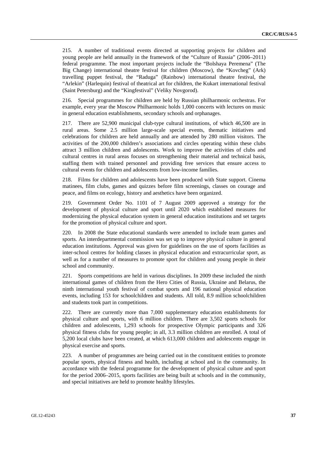215. A number of traditional events directed at supporting projects for children and young people are held annually in the framework of the "Culture of Russia" (2006–2011) federal programme. The most important projects include the "Bolshaya Peremena" (The Big Change) international theatre festival for children (Moscow), the "Kovcheg" (Ark) travelling puppet festival, the "Raduga" (Rainbow) international theatre festival, the "Arlekin" (Harlequin) festival of theatrical art for children, the Kukart international festival (Saint Petersburg) and the "Kingfestival" (Veliky Novgorod).

216. Special programmes for children are held by Russian philharmonic orchestras. For example, every year the Moscow Philharmonic holds 1,000 concerts with lectures on music in general education establishments, secondary schools and orphanages.

217. There are 52,900 municipal club-type cultural institutions, of which 46,500 are in rural areas. Some 2.5 million large-scale special events, thematic initiatives and celebrations for children are held annually and are attended by 280 million visitors. The activities of the 200,000 children's associations and circles operating within these clubs attract 3 million children and adolescents. Work to improve the activities of clubs and cultural centres in rural areas focuses on strengthening their material and technical basis, staffing them with trained personnel and providing free services that ensure access to cultural events for children and adolescents from low-income families.

218. Films for children and adolescents have been produced with State support. Cinema matinees, film clubs, games and quizzes before film screenings, classes on courage and peace, and films on ecology, history and aesthetics have been organized.

219. Government Order No. 1101 of 7 August 2009 approved a strategy for the development of physical culture and sport until 2020 which established measures for modernizing the physical education system in general education institutions and set targets for the promotion of physical culture and sport.

220. In 2008 the State educational standards were amended to include team games and sports. An interdepartmental commission was set up to improve physical culture in general education institutions. Approval was given for guidelines on the use of sports facilities as inter-school centres for holding classes in physical education and extracurricular sport, as well as for a number of measures to promote sport for children and young people in their school and community.

221. Sports competitions are held in various disciplines. In 2009 these included the ninth international games of children from the Hero Cities of Russia, Ukraine and Belarus, the ninth international youth festival of combat sports and 196 national physical education events, including 153 for schoolchildren and students. All told, 8.9 million schoolchildren and students took part in competitions.

222. There are currently more than 7,000 supplementary education establishments for physical culture and sports, with 6 million children. There are 3,502 sports schools for children and adolescents, 1,293 schools for prospective Olympic participants and 326 physical fitness clubs for young people; in all, 3.3 million children are enrolled. A total of 5,200 local clubs have been created, at which 613,000 children and adolescents engage in physical exercise and sports.

223. A number of programmes are being carried out in the constituent entities to promote popular sports, physical fitness and health, including at school and in the community. In accordance with the federal programme for the development of physical culture and sport for the period 2006–2015, sports facilities are being built at schools and in the community, and special initiatives are held to promote healthy lifestyles.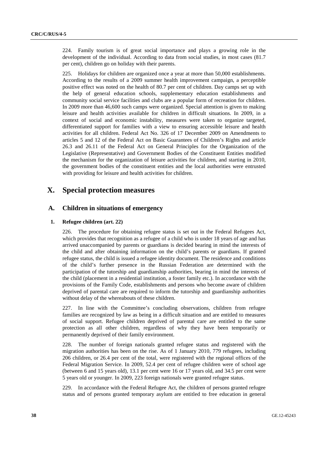224. Family tourism is of great social importance and plays a growing role in the development of the individual. According to data from social studies, in most cases (81.7 per cent), children go on holiday with their parents.

225. Holidays for children are organized once a year at more than 50,000 establishments. According to the results of a 2009 summer health improvement campaign, a perceptible positive effect was noted on the health of 80.7 per cent of children. Day camps set up with the help of general education schools, supplementary education establishments and community social service facilities and clubs are a popular form of recreation for children. In 2009 more than 46,600 such camps were organized. Special attention is given to making leisure and health activities available for children in difficult situations. In 2009, in a context of social and economic instability, measures were taken to organize targeted, differentiated support for families with a view to ensuring accessible leisure and health activities for all children. Federal Act No. 326 of 17 December 2009 on Amendments to articles 5 and 12 of the Federal Act on Basic Guarantees of Children's Rights and article 26.3 and 26.11 of the Federal Act on General Principles for the Organization of the Legislative (Representative) and Government Bodies of the Constituent Entities modified the mechanism for the organization of leisure activities for children, and starting in 2010, the government bodies of the constituent entities and the local authorities were entrusted with providing for leisure and health activities for children.

## **X. Special protection measures**

#### **A. Children in situations of emergency**

#### **1. Refugee children (art. 22)**

226. The procedure for obtaining refugee status is set out in the Federal Refugees Act, which provides that recognition as a refugee of a child who is under 18 years of age and has arrived unaccompanied by parents or guardians is decided bearing in mind the interests of the child and after obtaining information on the child's parents or guardians. If granted refugee status, the child is issued a refugee identity document. The residence and conditions of the child's further presence in the Russian Federation are determined with the participation of the tutorship and guardianship authorities, bearing in mind the interests of the child (placement in a residential institution, a foster family etc.). In accordance with the provisions of the Family Code, establishments and persons who become aware of children deprived of parental care are required to inform the tutorship and guardianship authorities without delay of the whereabouts of these children.

227. In line with the Committee's concluding observations, children from refugee families are recognized by law as being in a difficult situation and are entitled to measures of social support. Refugee children deprived of parental care are entitled to the same protection as all other children, regardless of why they have been temporarily or permanently deprived of their family environment.

228. The number of foreign nationals granted refugee status and registered with the migration authorities has been on the rise. As of 1 January 2010, 779 refugees, including 206 children, or 26.4 per cent of the total, were registered with the regional offices of the Federal Migration Service. In 2009, 52.4 per cent of refugee children were of school age (between 6 and 15 years old), 13.1 per cent were 16 or 17 years old, and 34.5 per cent were 5 years old or younger. In 2009, 223 foreign nationals were granted refugee status.

229. In accordance with the Federal Refugee Act, the children of persons granted refugee status and of persons granted temporary asylum are entitled to free education in general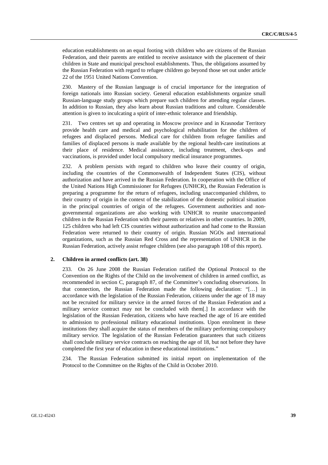education establishments on an equal footing with children who are citizens of the Russian Federation, and their parents are entitled to receive assistance with the placement of their children in State and municipal preschool establishments. Thus, the obligations assumed by the Russian Federation with regard to refugee children go beyond those set out under article 22 of the 1951 United Nations Convention.

230. Mastery of the Russian language is of crucial importance for the integration of foreign nationals into Russian society. General education establishments organize small Russian-language study groups which prepare such children for attending regular classes. In addition to Russian, they also learn about Russian traditions and culture. Considerable attention is given to inculcating a spirit of inter-ethnic tolerance and friendship.

231. Two centres set up and operating in Moscow province and in Krasnodar Territory provide health care and medical and psychological rehabilitation for the children of refugees and displaced persons. Medical care for children from refugee families and families of displaced persons is made available by the regional health-care institutions at their place of residence. Medical assistance, including treatment, check-ups and vaccinations, is provided under local compulsory medical insurance programmes.

232. A problem persists with regard to children who leave their country of origin, including the countries of the Commonwealth of Independent States (CIS), without authorization and have arrived in the Russian Federation. In cooperation with the Office of the United Nations High Commissioner for Refugees (UNHCR), the Russian Federation is preparing a programme for the return of refugees, including unaccompanied children, to their country of origin in the context of the stabilization of the domestic political situation in the principal countries of origin of the refugees. Government authorities and nongovernmental organizations are also working with UNHCR to reunite unaccompanied children in the Russian Federation with their parents or relatives in other countries. In 2009, 125 children who had left CIS countries without authorization and had come to the Russian Federation were returned to their country of origin. Russian NGOs and international organizations, such as the Russian Red Cross and the representation of UNHCR in the Russian Federation, actively assist refugee children (see also paragraph 108 of this report).

#### **2. Children in armed conflicts (art. 38)**

233. On 26 June 2008 the Russian Federation ratified the Optional Protocol to the Convention on the Rights of the Child on the involvement of children in armed conflict, as recommended in section C, paragraph 87, of the Committee's concluding observations. In that connection, the Russian Federation made the following declaration: "[…] in accordance with the legislation of the Russian Federation, citizens under the age of 18 may not be recruited for military service in the armed forces of the Russian Federation and a military service contract may not be concluded with them[.] In accordance with the legislation of the Russian Federation, citizens who have reached the age of 16 are entitled to admission to professional military educational institutions. Upon enrolment in these institutions they shall acquire the status of members of the military performing compulsory military service. The legislation of the Russian Federation guarantees that such citizens shall conclude military service contracts on reaching the age of 18, but not before they have completed the first year of education in these educational institutions."

234. The Russian Federation submitted its initial report on implementation of the Protocol to the Committee on the Rights of the Child in October 2010.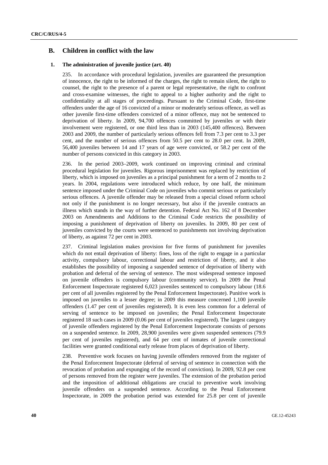### **B. Children in conflict with the law**

#### **1. The administration of juvenile justice (art. 40)**

235. In accordance with procedural legislation, juveniles are guaranteed the presumption of innocence, the right to be informed of the charges, the right to remain silent, the right to counsel, the right to the presence of a parent or legal representative, the right to confront and cross-examine witnesses, the right to appeal to a higher authority and the right to confidentiality at all stages of proceedings. Pursuant to the Criminal Code, first-time offenders under the age of 16 convicted of a minor or moderately serious offence, as well as other juvenile first-time offenders convicted of a minor offence, may not be sentenced to deprivation of liberty. In 2009, 94,700 offences committed by juveniles or with their involvement were registered, or one third less than in 2003 (145,400 offences). Between 2003 and 2009, the number of particularly serious offences fell from 7.3 per cent to 3.3 per cent, and the number of serious offences from 50.5 per cent to 28.0 per cent. In 2009, 56,400 juveniles between 14 and 17 years of age were convicted, or 58.2 per cent of the number of persons convicted in this category in 2003.

236. In the period 2003–2009, work continued on improving criminal and criminal procedural legislation for juveniles. Rigorous imprisonment was replaced by restriction of liberty, which is imposed on juveniles as a principal punishment for a term of 2 months to 2 years. In 2004, regulations were introduced which reduce, by one half, the minimum sentence imposed under the Criminal Code on juveniles who commit serious or particularly serious offences. A juvenile offender may be released from a special closed reform school not only if the punishment is no longer necessary, but also if the juvenile contracts an illness which stands in the way of further detention. Federal Act No. 162 of 8 December 2003 on Amendments and Additions to the Criminal Code restricts the possibility of imposing a punishment of deprivation of liberty on juveniles. In 2009, 80 per cent of juveniles convicted by the courts were sentenced to punishments not involving deprivation of liberty, as against 72 per cent in 2003.

237. Criminal legislation makes provision for five forms of punishment for juveniles which do not entail deprivation of liberty: fines, loss of the right to engage in a particular activity, compulsory labour, correctional labour and restriction of liberty, and it also establishes the possibility of imposing a suspended sentence of deprivation of liberty with probation and deferral of the serving of sentence. The most widespread sentence imposed on juvenile offenders is compulsory labour (community service). In 2009 the Penal Enforcement Inspectorate registered 6,023 juveniles sentenced to compulsory labour (18.6 per cent of all juveniles registered by the Penal Enforcement Inspectorate). Punitive work is imposed on juveniles to a lesser degree; in 2009 this measure concerned 1,100 juvenile offenders (1.47 per cent of juveniles registered). It is even less common for a deferral of serving of sentence to be imposed on juveniles; the Penal Enforcement Inspectorate registered 18 such cases in 2009 (0.06 per cent of juveniles registered). The largest category of juvenile offenders registered by the Penal Enforcement Inspectorate consists of persons on a suspended sentence. In 2009, 28,900 juveniles were given suspended sentences (79.9 per cent of juveniles registered), and 64 per cent of inmates of juvenile correctional facilities were granted conditional early release from places of deprivation of liberty.

238. Preventive work focuses on having juvenile offenders removed from the register of the Penal Enforcement Inspectorate (deferral of serving of sentence in connection with the revocation of probation and expunging of the record of conviction). In 2009, 92.8 per cent of persons removed from the register were juveniles. The extension of the probation period and the imposition of additional obligations are crucial to preventive work involving juvenile offenders on a suspended sentence. According to the Penal Enforcement Inspectorate, in 2009 the probation period was extended for 25.8 per cent of juvenile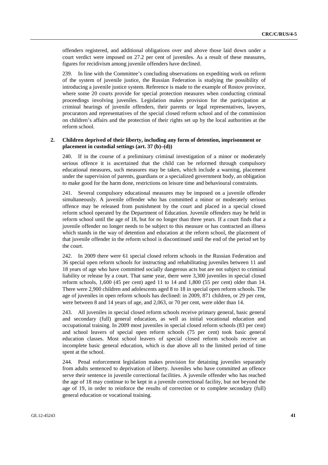offenders registered, and additional obligations over and above those laid down under a court verdict were imposed on 27.2 per cent of juveniles. As a result of these measures, figures for recidivism among juvenile offenders have declined.

239. In line with the Committee's concluding observations on expediting work on reform of the system of juvenile justice, the Russian Federation is studying the possibility of introducing a juvenile justice system. Reference is made to the example of Rostov province, where some 20 courts provide for special protection measures when conducting criminal proceedings involving juveniles. Legislation makes provision for the participation at criminal hearings of juvenile offenders, their parents or legal representatives, lawyers, procurators and representatives of the special closed reform school and of the commission on children's affairs and the protection of their rights set up by the local authorities at the reform school.

#### **2. Children deprived of their liberty, including any form of detention, imprisonment or placement in custodial settings (art. 37 (b)–(d))**

240. If in the course of a preliminary criminal investigation of a minor or moderately serious offence it is ascertained that the child can be reformed through compulsory educational measures, such measures may be taken, which include a warning, placement under the supervision of parents, guardians or a specialized government body, an obligation to make good for the harm done, restrictions on leisure time and behavioural constraints.

241. Several compulsory educational measures may be imposed on a juvenile offender simultaneously. A juvenile offender who has committed a minor or moderately serious offence may be released from punishment by the court and placed in a special closed reform school operated by the Department of Education. Juvenile offenders may be held in reform school until the age of 18, but for no longer than three years. If a court finds that a juvenile offender no longer needs to be subject to this measure or has contracted an illness which stands in the way of detention and education at the reform school, the placement of that juvenile offender in the reform school is discontinued until the end of the period set by the court.

242. In 2009 there were 61 special closed reform schools in the Russian Federation and 36 special open reform schools for instructing and rehabilitating juveniles between 11 and 18 years of age who have committed socially dangerous acts but are not subject to criminal liability or release by a court. That same year, there were 3,300 juveniles in special closed reform schools, 1,600 (45 per cent) aged 11 to 14 and 1,800 (55 per cent) older than 14. There were 2,900 children and adolescents aged 8 to 18 in special open reform schools. The age of juveniles in open reform schools has declined: in 2009, 871 children, or 29 per cent, were between 8 and 14 years of age, and 2,063, or 70 per cent, were older than 14.

243. All juveniles in special closed reform schools receive primary general, basic general and secondary (full) general education, as well as initial vocational education and occupational training. In 2009 most juveniles in special closed reform schools (83 per cent) and school leavers of special open reform schools (75 per cent) took basic general education classes. Most school leavers of special closed reform schools receive an incomplete basic general education, which is due above all to the limited period of time spent at the school.

244. Penal enforcement legislation makes provision for detaining juveniles separately from adults sentenced to deprivation of liberty. Juveniles who have committed an offence serve their sentence in juvenile correctional facilities. A juvenile offender who has reached the age of 18 may continue to be kept in a juvenile correctional facility, but not beyond the age of 19, in order to reinforce the results of correction or to complete secondary (full) general education or vocational training.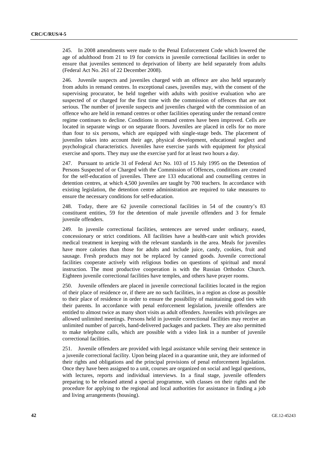245. In 2008 amendments were made to the Penal Enforcement Code which lowered the age of adulthood from 21 to 19 for convicts in juvenile correctional facilities in order to ensure that juveniles sentenced to deprivation of liberty are held separately from adults (Federal Act No. 261 of 22 December 2008).

246. Juvenile suspects and juveniles charged with an offence are also held separately from adults in remand centres. In exceptional cases, juveniles may, with the consent of the supervising procurator, be held together with adults with positive evaluation who are suspected of or charged for the first time with the commission of offences that are not serious. The number of juvenile suspects and juveniles charged with the commission of an offence who are held in remand centres or other facilities operating under the remand centre regime continues to decline. Conditions in remand centres have been improved. Cells are located in separate wings or on separate floors. Juveniles are placed in cells for no more than four to six persons, which are equipped with single-stage beds. The placement of juveniles takes into account their age, physical development, educational neglect and psychological characteristics. Juveniles have exercise yards with equipment for physical exercise and sports. They may use the exercise yard for at least two hours a day.

247. Pursuant to article 31 of Federal Act No. 103 of 15 July 1995 on the Detention of Persons Suspected of or Charged with the Commission of Offences, conditions are created for the self-education of juveniles. There are 133 educational and counselling centres in detention centres, at which 4,500 juveniles are taught by 700 teachers. In accordance with existing legislation, the detention centre administration are required to take measures to ensure the necessary conditions for self-education.

248. Today, there are 62 juvenile correctional facilities in 54 of the country's 83 constituent entities, 59 for the detention of male juvenile offenders and 3 for female juvenile offenders.

249. In juvenile correctional facilities, sentences are served under ordinary, eased, concessionary or strict conditions. All facilities have a health-care unit which provides medical treatment in keeping with the relevant standards in the area. Meals for juveniles have more calories than those for adults and include juice, candy, cookies, fruit and sausage. Fresh products may not be replaced by canned goods. Juvenile correctional facilities cooperate actively with religious bodies on questions of spiritual and moral instruction. The most productive cooperation is with the Russian Orthodox Church. Eighteen juvenile correctional facilities have temples, and others have prayer rooms.

250. Juvenile offenders are placed in juvenile correctional facilities located in the region of their place of residence or, if there are no such facilities, in a region as close as possible to their place of residence in order to ensure the possibility of maintaining good ties with their parents. In accordance with penal enforcement legislation, juvenile offenders are entitled to almost twice as many short visits as adult offenders. Juveniles with privileges are allowed unlimited meetings. Persons held in juvenile correctional facilities may receive an unlimited number of parcels, hand-delivered packages and packets. They are also permitted to make telephone calls, which are possible with a video link in a number of juvenile correctional facilities.

251. Juvenile offenders are provided with legal assistance while serving their sentence in a juvenile correctional facility. Upon being placed in a quarantine unit, they are informed of their rights and obligations and the principal provisions of penal enforcement legislation. Once they have been assigned to a unit, courses are organized on social and legal questions, with lectures, reports and individual interviews. In a final stage, juvenile offenders preparing to be released attend a special programme, with classes on their rights and the procedure for applying to the regional and local authorities for assistance in finding a job and living arrangements (housing).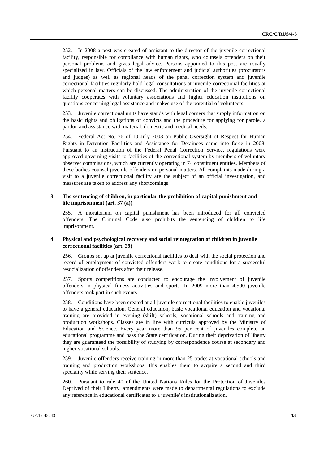252. In 2008 a post was created of assistant to the director of the juvenile correctional facility, responsible for compliance with human rights, who counsels offenders on their personal problems and gives legal advice. Persons appointed to this post are usually specialized in law. Officials of the law enforcement and judicial authorities (procurators and judges) as well as regional heads of the penal correction system and juvenile correctional facilities regularly hold legal consultations at juvenile correctional facilities at which personal matters can be discussed. The administration of the juvenile correctional facility cooperates with voluntary associations and higher education institutions on questions concerning legal assistance and makes use of the potential of volunteers.

253. Juvenile correctional units have stands with legal corners that supply information on the basic rights and obligations of convicts and the procedure for applying for parole, a pardon and assistance with material, domestic and medical needs.

254. Federal Act No. 76 of 10 July 2008 on Public Oversight of Respect for Human Rights in Detention Facilities and Assistance for Detainees came into force in 2008. Pursuant to an instruction of the Federal Penal Correction Service, regulations were approved governing visits to facilities of the correctional system by members of voluntary observer commissions, which are currently operating in 74 constituent entities. Members of these bodies counsel juvenile offenders on personal matters. All complaints made during a visit to a juvenile correctional facility are the subject of an official investigation, and measures are taken to address any shortcomings.

#### **3. The sentencing of children, in particular the prohibition of capital punishment and life imprisonment (art. 37 (a))**

255. A moratorium on capital punishment has been introduced for all convicted offenders. The Criminal Code also prohibits the sentencing of children to life imprisonment.

#### **4. Physical and psychological recovery and social reintegration of children in juvenile correctional facilities (art. 39)**

256. Groups set up at juvenile correctional facilities to deal with the social protection and record of employment of convicted offenders work to create conditions for a successful resocialization of offenders after their release.

257. Sports competitions are conducted to encourage the involvement of juvenile offenders in physical fitness activities and sports. In 2009 more than 4,500 juvenile offenders took part in such events.

258. Conditions have been created at all juvenile correctional facilities to enable juveniles to have a general education. General education, basic vocational education and vocational training are provided in evening (shift) schools, vocational schools and training and production workshops. Classes are in line with curricula approved by the Ministry of Education and Science. Every year more than 95 per cent of juveniles complete an educational programme and pass the State certification. During their deprivation of liberty they are guaranteed the possibility of studying by correspondence course at secondary and higher vocational schools.

259. Juvenile offenders receive training in more than 25 trades at vocational schools and training and production workshops; this enables them to acquire a second and third speciality while serving their sentence.

260. Pursuant to rule 40 of the United Nations Rules for the Protection of Juveniles Deprived of their Liberty, amendments were made to departmental regulations to exclude any reference in educational certificates to a juvenile's institutionalization.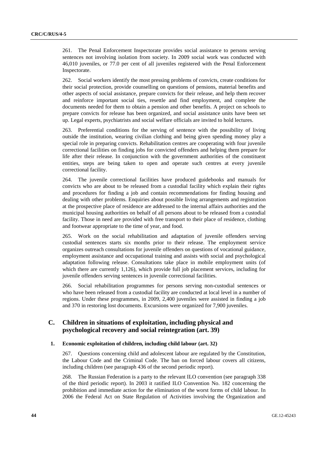261. The Penal Enforcement Inspectorate provides social assistance to persons serving sentences not involving isolation from society. In 2009 social work was conducted with 46,010 juveniles, or 77.0 per cent of all juveniles registered with the Penal Enforcement Inspectorate.

262. Social workers identify the most pressing problems of convicts, create conditions for their social protection, provide counselling on questions of pensions, material benefits and other aspects of social assistance, prepare convicts for their release, and help them recover and reinforce important social ties, resettle and find employment, and complete the documents needed for them to obtain a pension and other benefits. A project on schools to prepare convicts for release has been organized, and social assistance units have been set up. Legal experts, psychiatrists and social welfare officials are invited to hold lectures.

263. Preferential conditions for the serving of sentence with the possibility of living outside the institution, wearing civilian clothing and being given spending money play a special role in preparing convicts. Rehabilitation centres are cooperating with four juvenile correctional facilities on finding jobs for convicted offenders and helping them prepare for life after their release. In conjunction with the government authorities of the constituent entities, steps are being taken to open and operate such centres at every juvenile correctional facility.

264. The juvenile correctional facilities have produced guidebooks and manuals for convicts who are about to be released from a custodial facility which explain their rights and procedures for finding a job and contain recommendations for finding housing and dealing with other problems. Enquiries about possible living arrangements and registration at the prospective place of residence are addressed to the internal affairs authorities and the municipal housing authorities on behalf of all persons about to be released from a custodial facility. Those in need are provided with free transport to their place of residence, clothing and footwear appropriate to the time of year, and food.

265. Work on the social rehabilitation and adaptation of juvenile offenders serving custodial sentences starts six months prior to their release. The employment service organizes outreach consultations for juvenile offenders on questions of vocational guidance, employment assistance and occupational training and assists with social and psychological adaptation following release. Consultations take place in mobile employment units (of which there are currently 1,126), which provide full job placement services, including for juvenile offenders serving sentences in juvenile correctional facilities.

266. Social rehabilitation programmes for persons serving non-custodial sentences or who have been released from a custodial facility are conducted at local level in a number of regions. Under these programmes, in 2009, 2,400 juveniles were assisted in finding a job and 370 in restoring lost documents. Excursions were organized for 7,900 juveniles.

## **C. Children in situations of exploitation, including physical and psychological recovery and social reintegration (art. 39)**

#### **1. Economic exploitation of children, including child labour (art. 32)**

267. Questions concerning child and adolescent labour are regulated by the Constitution, the Labour Code and the Criminal Code. The ban on forced labour covers all citizens, including children (see paragraph 436 of the second periodic report).

268. The Russian Federation is a party to the relevant ILO convention (see paragraph 338 of the third periodic report). In 2003 it ratified ILO Convention No. 182 concerning the prohibition and immediate action for the elimination of the worst forms of child labour. In 2006 the Federal Act on State Regulation of Activities involving the Organization and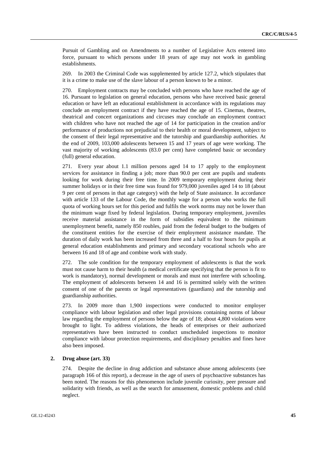Pursuit of Gambling and on Amendments to a number of Legislative Acts entered into force, pursuant to which persons under 18 years of age may not work in gambling establishments.

269. In 2003 the Criminal Code was supplemented by article 127.2, which stipulates that it is a crime to make use of the slave labour of a person known to be a minor.

270. Employment contracts may be concluded with persons who have reached the age of 16. Pursuant to legislation on general education, persons who have received basic general education or have left an educational establishment in accordance with its regulations may conclude an employment contract if they have reached the age of 15. Cinemas, theatres, theatrical and concert organizations and circuses may conclude an employment contract with children who have not reached the age of 14 for participation in the creation and/or performance of productions not prejudicial to their health or moral development, subject to the consent of their legal representative and the tutorship and guardianship authorities. At the end of 2009, 103,000 adolescents between 15 and 17 years of age were working. The vast majority of working adolescents (83.0 per cent) have completed basic or secondary (full) general education.

271. Every year about 1.1 million persons aged 14 to 17 apply to the employment services for assistance in finding a job; more than 90.0 per cent are pupils and students looking for work during their free time. In 2009 temporary employment during their summer holidays or in their free time was found for 979,000 juveniles aged 14 to 18 (about 9 per cent of persons in that age category) with the help of State assistance. In accordance with article 133 of the Labour Code, the monthly wage for a person who works the full quota of working hours set for this period and fulfils the work norms may not be lower than the minimum wage fixed by federal legislation. During temporary employment, juveniles receive material assistance in the form of subsidies equivalent to the minimum unemployment benefit, namely 850 roubles, paid from the federal budget to the budgets of the constituent entities for the exercise of their employment assistance mandate. The duration of daily work has been increased from three and a half to four hours for pupils at general education establishments and primary and secondary vocational schools who are between 16 and 18 of age and combine work with study.

272. The sole condition for the temporary employment of adolescents is that the work must not cause harm to their health (a medical certificate specifying that the person is fit to work is mandatory), normal development or morals and must not interfere with schooling. The employment of adolescents between 14 and 16 is permitted solely with the written consent of one of the parents or legal representatives (guardians) and the tutorship and guardianship authorities.

273. In 2009 more than 1,900 inspections were conducted to monitor employer compliance with labour legislation and other legal provisions containing norms of labour law regarding the employment of persons below the age of 18; about 4,800 violations were brought to light. To address violations, the heads of enterprises or their authorized representatives have been instructed to conduct unscheduled inspections to monitor compliance with labour protection requirements, and disciplinary penalties and fines have also been imposed.

#### **2. Drug abuse (art. 33)**

274. Despite the decline in drug addiction and substance abuse among adolescents (see paragraph 166 of this report), a decrease in the age of users of psychoactive substances has been noted. The reasons for this phenomenon include juvenile curiosity, peer pressure and solidarity with friends, as well as the search for amusement, domestic problems and child neglect.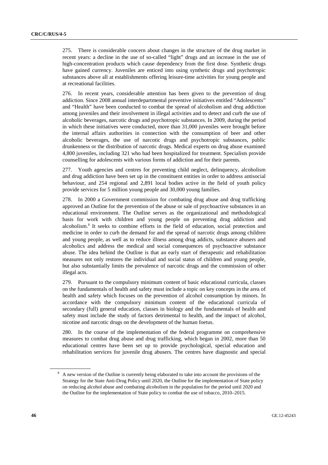275. There is considerable concern about changes in the structure of the drug market in recent years: a decline in the use of so-called "light" drugs and an increase in the use of high-concentration products which cause dependency from the first dose. Synthetic drugs have gained currency. Juveniles are enticed into using synthetic drugs and psychotropic substances above all at establishments offering leisure-time activities for young people and at recreational facilities.

276. In recent years, considerable attention has been given to the prevention of drug addiction. Since 2008 annual interdepartmental preventive initiatives entitled "Adolescents" and "Health" have been conducted to combat the spread of alcoholism and drug addiction among juveniles and their involvement in illegal activities and to detect and curb the use of alcoholic beverages, narcotic drugs and psychotropic substances. In 2009, during the period in which these initiatives were conducted, more than 31,000 juveniles were brought before the internal affairs authorities in connection with the consumption of beer and other alcoholic beverages, the use of narcotic drugs and psychotropic substances, public drunkenness or the distribution of narcotic drugs. Medical experts on drug abuse examined 4,800 juveniles, including 321 who had been hospitalized for treatment. Specialists provide counselling for adolescents with various forms of addiction and for their parents.

277. Youth agencies and centres for preventing child neglect, delinquency, alcoholism and drug addiction have been set up in the constituent entities in order to address antisocial behaviour, and 254 regional and 2,891 local bodies active in the field of youth policy provide services for 5 million young people and 30,000 young families.

278. In 2000 a Government commission for combating drug abuse and drug trafficking approved an Outline for the prevention of the abuse or sale of psychoactive substances in an educational environment. The Outline serves as the organizational and methodological basis for work with children and young people on preventing drug addiction and alcoholism.8 It seeks to combine efforts in the field of education, social protection and medicine in order to curb the demand for and the spread of narcotic drugs among children and young people, as well as to reduce illness among drug addicts, substance abusers and alcoholics and address the medical and social consequences of psychoactive substance abuse. The idea behind the Outline is that an early start of therapeutic and rehabilitation measures not only restores the individual and social status of children and young people, but also substantially limits the prevalence of narcotic drugs and the commission of other illegal acts.

279. Pursuant to the compulsory minimum content of basic educational curricula, classes on the fundamentals of health and safety must include a topic on key concepts in the area of health and safety which focuses on the prevention of alcohol consumption by minors. In accordance with the compulsory minimum content of the educational curricula of secondary (full) general education, classes in biology and the fundamentals of health and safety must include the study of factors detrimental to health, and the impact of alcohol, nicotine and narcotic drugs on the development of the human foetus.

280. In the course of the implementation of the federal programme on comprehensive measures to combat drug abuse and drug trafficking, which began in 2002, more than 50 educational centres have been set up to provide psychological, special education and rehabilitation services for juvenile drug abusers. The centres have diagnostic and special

<sup>&</sup>lt;sup>8</sup> A new version of the Outline is currently being elaborated to take into account the provisions of the Strategy for the State Anti-Drug Policy until 2020, the Outline for the implementation of State policy on reducing alcohol abuse and combating alcoholism in the population for the period until 2020 and the Outline for the implementation of State policy to combat the use of tobacco, 2010–2015.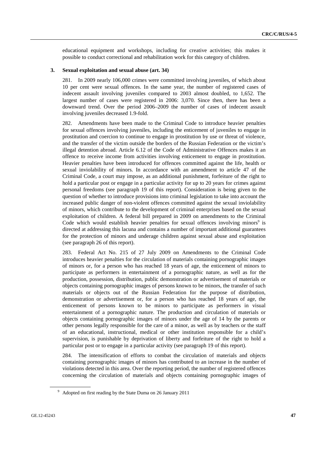educational equipment and workshops, including for creative activities; this makes it possible to conduct correctional and rehabilitation work for this category of children.

#### **3. Sexual exploitation and sexual abuse (art. 34)**

281. In 2009 nearly 106,000 crimes were committed involving juveniles, of which about 10 per cent were sexual offences. In the same year, the number of registered cases of indecent assault involving juveniles compared to 2003 almost doubled, to 1,652. The largest number of cases were registered in 2006: 3,070. Since then, there has been a downward trend. Over the period 2006–2009 the number of cases of indecent assault involving juveniles decreased 1.9-fold.

282. Amendments have been made to the Criminal Code to introduce heavier penalties for sexual offences involving juveniles, including the enticement of juveniles to engage in prostitution and coercion to continue to engage in prostitution by use or threat of violence, and the transfer of the victim outside the borders of the Russian Federation or the victim's illegal detention abroad. Article 6.12 of the Code of Administrative Offences makes it an offence to receive income from activities involving enticement to engage in prostitution. Heavier penalties have been introduced for offences committed against the life, health or sexual inviolability of minors. In accordance with an amendment to article 47 of the Criminal Code, a court may impose, as an additional punishment, forfeiture of the right to hold a particular post or engage in a particular activity for up to 20 years for crimes against personal freedoms (see paragraph 19 of this report). Consideration is being given to the question of whether to introduce provisions into criminal legislation to take into account the increased public danger of non-violent offences committed against the sexual inviolability of minors, which contribute to the development of criminal enterprises based on the sexual exploitation of children. A federal bill prepared in 2009 on amendments to the Criminal Code which would establish heavier penalties for sexual offences involving minors $\degree$  is directed at addressing this lacuna and contains a number of important additional guarantees for the protection of minors and underage children against sexual abuse and exploitation (see paragraph 26 of this report).

283. Federal Act No. 215 of 27 July 2009 on Amendments to the Criminal Code introduces heavier penalties for the circulation of materials containing pornographic images of minors or, for a person who has reached 18 years of age, the enticement of minors to participate as performers in entertainment of a pornographic nature, as well as for the production, possession, distribution, public demonstration or advertisement of materials or objects containing pornographic images of persons known to be minors, the transfer of such materials or objects out of the Russian Federation for the purpose of distribution, demonstration or advertisement or, for a person who has reached 18 years of age, the enticement of persons known to be minors to participate as performers in visual entertainment of a pornographic nature. The production and circulation of materials or objects containing pornographic images of minors under the age of 14 by the parents or other persons legally responsible for the care of a minor, as well as by teachers or the staff of an educational, instructional, medical or other institution responsible for a child's supervision, is punishable by deprivation of liberty and forfeiture of the right to hold a particular post or to engage in a particular activity (see paragraph 19 of this report).

284. The intensification of efforts to combat the circulation of materials and objects containing pornographic images of minors has contributed to an increase in the number of violations detected in this area. Over the reporting period, the number of registered offences concerning the circulation of materials and objects containing pornographic images of

<sup>&</sup>lt;sup>9</sup> Adopted on first reading by the State Duma on 26 January 2011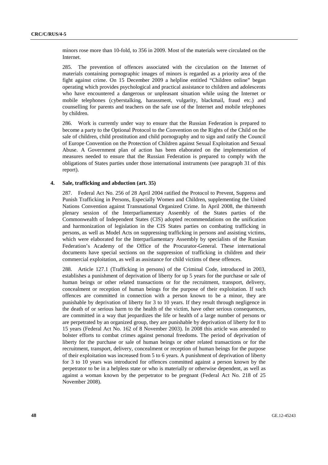minors rose more than 10-fold, to 356 in 2009. Most of the materials were circulated on the Internet.

285. The prevention of offences associated with the circulation on the Internet of materials containing pornographic images of minors is regarded as a priority area of the fight against crime. On 15 December 2009 a helpline entitled "Children online" began operating which provides psychological and practical assistance to children and adolescents who have encountered a dangerous or unpleasant situation while using the Internet or mobile telephones (cyberstalking, harassment, vulgarity, blackmail, fraud etc.) and counselling for parents and teachers on the safe use of the Internet and mobile telephones by children.

286. Work is currently under way to ensure that the Russian Federation is prepared to become a party to the Optional Protocol to the Convention on the Rights of the Child on the sale of children, child prostitution and child pornography and to sign and ratify the Council of Europe Convention on the Protection of Children against Sexual Exploitation and Sexual Abuse. A Government plan of action has been elaborated on the implementation of measures needed to ensure that the Russian Federation is prepared to comply with the obligations of States parties under those international instruments (see paragraph 31 of this report).

#### **4. Sale, trafficking and abduction (art. 35)**

287. Federal Act No. 256 of 28 April 2004 ratified the Protocol to Prevent, Suppress and Punish Trafficking in Persons, Especially Women and Children, supplementing the United Nations Convention against Transnational Organized Crime. In April 2008, the thirteenth plenary session of the Interparliamentary Assembly of the States parties of the Commonwealth of Independent States (CIS) adopted recommendations on the unification and harmonization of legislation in the CIS States parties on combating trafficking in persons, as well as Model Acts on suppressing trafficking in persons and assisting victims, which were elaborated for the Interparliamentary Assembly by specialists of the Russian Federation's Academy of the Office of the Procurator-General. These international documents have special sections on the suppression of trafficking in children and their commercial exploitation, as well as assistance for child victims of these offences.

288. Article 127.1 (Trafficking in persons) of the Criminal Code, introduced in 2003, establishes a punishment of deprivation of liberty for up 5 years for the purchase or sale of human beings or other related transactions or for the recruitment, transport, delivery, concealment or reception of human beings for the purpose of their exploitation. If such offences are committed in connection with a person known to be a minor, they are punishable by deprivation of liberty for 3 to 10 years. If they result through negligence in the death of or serious harm to the health of the victim, have other serious consequences, are committed in a way that jeopardizes the life or health of a large number of persons or are perpetrated by an organized group, they are punishable by deprivation of liberty for 8 to 15 years (Federal Act No. 162 of 8 November 2003). In 2008 this article was amended to bolster efforts to combat crimes against personal freedoms. The period of deprivation of liberty for the purchase or sale of human beings or other related transactions or for the recruitment, transport, delivery, concealment or reception of human beings for the purpose of their exploitation was increased from 5 to 6 years. A punishment of deprivation of liberty for 3 to 10 years was introduced for offences committed against a person known by the perpetrator to be in a helpless state or who is materially or otherwise dependent, as well as against a woman known by the perpetrator to be pregnant (Federal Act No. 218 of 25 November 2008).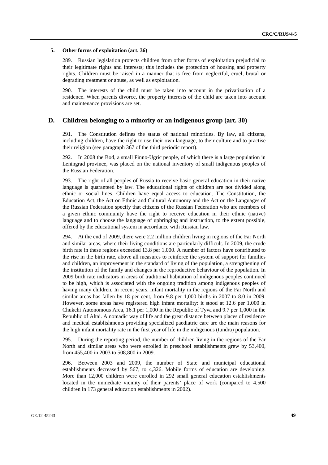#### **5. Other forms of exploitation (art. 36)**

289. Russian legislation protects children from other forms of exploitation prejudicial to their legitimate rights and interests; this includes the protection of housing and property rights. Children must be raised in a manner that is free from neglectful, cruel, brutal or degrading treatment or abuse, as well as exploitation.

290. The interests of the child must be taken into account in the privatization of a residence. When parents divorce, the property interests of the child are taken into account and maintenance provisions are set.

#### **D. Children belonging to a minority or an indigenous group (art. 30)**

291. The Constitution defines the status of national minorities. By law, all citizens, including children, have the right to use their own language, to their culture and to practise their religion (see paragraph 367 of the third periodic report).

292. In 2008 the Bod, a small Finno-Ugric people, of which there is a large population in Leningrad province, was placed on the national inventory of small indigenous peoples of the Russian Federation.

293. The right of all peoples of Russia to receive basic general education in their native language is guaranteed by law. The educational rights of children are not divided along ethnic or social lines. Children have equal access to education. The Constitution, the Education Act, the Act on Ethnic and Cultural Autonomy and the Act on the Languages of the Russian Federation specify that citizens of the Russian Federation who are members of a given ethnic community have the right to receive education in their ethnic (native) language and to choose the language of upbringing and instruction, to the extent possible, offered by the educational system in accordance with Russian law.

294. At the end of 2009, there were 2.2 million children living in regions of the Far North and similar areas, where their living conditions are particularly difficult. In 2009, the crude birth rate in these regions exceeded 13.8 per 1,000. A number of factors have contributed to the rise in the birth rate, above all measures to reinforce the system of support for families and children, an improvement in the standard of living of the population, a strengthening of the institution of the family and changes in the reproductive behaviour of the population. In 2009 birth rate indicators in areas of traditional habitation of indigenous peoples continued to be high, which is associated with the ongoing tradition among indigenous peoples of having many children. In recent years, infant mortality in the regions of the Far North and similar areas has fallen by 18 per cent, from 9.8 per 1,000 births in 2007 to 8.0 in 2009. However, some areas have registered high infant mortality: it stood at 12.6 per 1,000 in Chukchi Autonomous Area, 16.1 per 1,000 in the Republic of Tyva and 9.7 per 1,000 in the Republic of Altai. A nomadic way of life and the great distance between places of residence and medical establishments providing specialized paediatric care are the main reasons for the high infant mortality rate in the first year of life in the indigenous (tundra) population.

295. During the reporting period, the number of children living in the regions of the Far North and similar areas who were enrolled in preschool establishments grew by 53,400, from 455,400 in 2003 to 508,800 in 2009.

296. Between 2003 and 2009, the number of State and municipal educational establishments decreased by 567, to 4,326. Mobile forms of education are developing. More than 12,000 children were enrolled in 292 small general education establishments located in the immediate vicinity of their parents' place of work (compared to 4,500 children in 173 general education establishments in 2002).